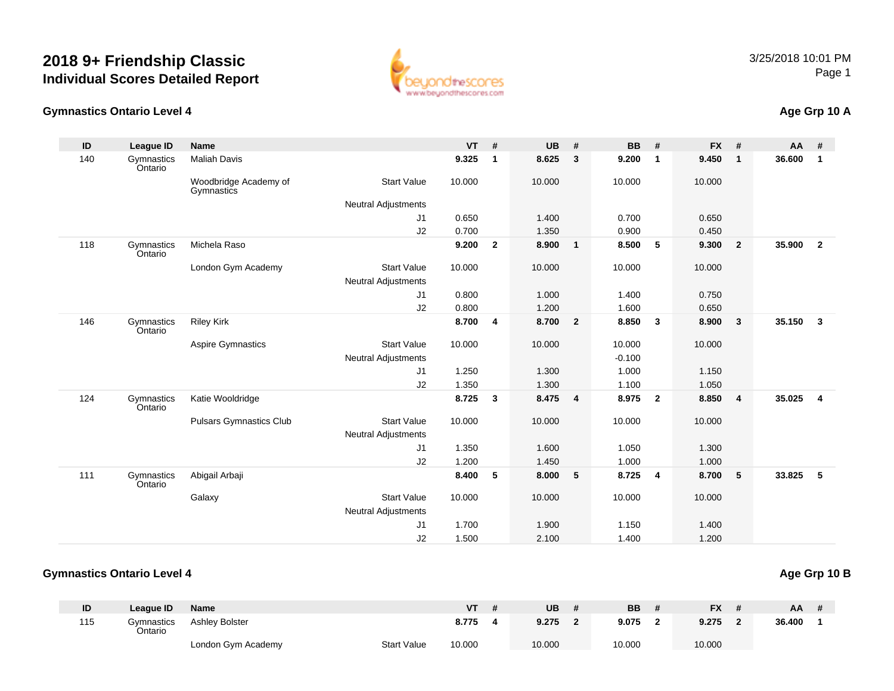

#### **Gymnastics Ontario Level 4**

# **Age Grp 10 A**

| ID  | League ID             | <b>Name</b>                         |                            | <b>VT</b> | #            | <b>UB</b> | #                       | <b>BB</b> | #                       | <b>FX</b> | #                       | <b>AA</b> | #              |
|-----|-----------------------|-------------------------------------|----------------------------|-----------|--------------|-----------|-------------------------|-----------|-------------------------|-----------|-------------------------|-----------|----------------|
| 140 | Gymnastics<br>Ontario | <b>Maliah Davis</b>                 |                            | 9.325     | $\mathbf{1}$ | 8.625     | $\mathbf{3}$            | 9.200     | $\overline{1}$          | 9.450     | $\mathbf{1}$            | 36.600    | $\mathbf{1}$   |
|     |                       | Woodbridge Academy of<br>Gymnastics | <b>Start Value</b>         | 10.000    |              | 10.000    |                         | 10.000    |                         | 10.000    |                         |           |                |
|     |                       |                                     | <b>Neutral Adjustments</b> |           |              |           |                         |           |                         |           |                         |           |                |
|     |                       |                                     | J1                         | 0.650     |              | 1.400     |                         | 0.700     |                         | 0.650     |                         |           |                |
|     |                       |                                     | J2                         | 0.700     |              | 1.350     |                         | 0.900     |                         | 0.450     |                         |           |                |
| 118 | Gymnastics<br>Ontario | Michela Raso                        |                            | 9.200     | $\mathbf{2}$ | 8.900     | $\overline{1}$          | 8.500     | 5                       | 9.300     | $\overline{2}$          | 35.900    | $\overline{2}$ |
|     |                       | London Gym Academy                  | <b>Start Value</b>         | 10.000    |              | 10.000    |                         | 10.000    |                         | 10.000    |                         |           |                |
|     |                       |                                     | <b>Neutral Adjustments</b> |           |              |           |                         |           |                         |           |                         |           |                |
|     |                       |                                     | J1                         | 0.800     |              | 1.000     |                         | 1.400     |                         | 0.750     |                         |           |                |
|     |                       |                                     | J2                         | 0.800     |              | 1.200     |                         | 1.600     |                         | 0.650     |                         |           |                |
| 146 | Gymnastics<br>Ontario | <b>Riley Kirk</b>                   |                            | 8.700     | 4            | 8.700     | $\overline{\mathbf{2}}$ | 8.850     | $\overline{\mathbf{3}}$ | 8.900     | 3                       | 35.150    | $\mathbf{3}$   |
|     |                       | Aspire Gymnastics                   | <b>Start Value</b>         | 10.000    |              | 10.000    |                         | 10.000    |                         | 10.000    |                         |           |                |
|     |                       |                                     | <b>Neutral Adjustments</b> |           |              |           |                         | $-0.100$  |                         |           |                         |           |                |
|     |                       |                                     | J1                         | 1.250     |              | 1.300     |                         | 1.000     |                         | 1.150     |                         |           |                |
|     |                       |                                     | J2                         | 1.350     |              | 1.300     |                         | 1.100     |                         | 1.050     |                         |           |                |
| 124 | Gymnastics<br>Ontario | Katie Wooldridge                    |                            | 8.725     | 3            | 8.475     | $\overline{\mathbf{4}}$ | 8.975     | $\overline{\mathbf{2}}$ | 8.850     | $\overline{\mathbf{4}}$ | 35.025    | $\overline{4}$ |
|     |                       | <b>Pulsars Gymnastics Club</b>      | <b>Start Value</b>         | 10.000    |              | 10.000    |                         | 10.000    |                         | 10.000    |                         |           |                |
|     |                       |                                     | <b>Neutral Adjustments</b> |           |              |           |                         |           |                         |           |                         |           |                |
|     |                       |                                     | J1                         | 1.350     |              | 1.600     |                         | 1.050     |                         | 1.300     |                         |           |                |
|     |                       |                                     | J2                         | 1.200     |              | 1.450     |                         | 1.000     |                         | 1.000     |                         |           |                |
| 111 | Gymnastics<br>Ontario | Abigail Arbaji                      |                            | 8.400     | 5            | 8.000     | 5                       | 8.725     | $\overline{4}$          | 8.700     | 5                       | 33.825    | 5              |
|     |                       | Galaxy                              | <b>Start Value</b>         | 10.000    |              | 10.000    |                         | 10.000    |                         | 10.000    |                         |           |                |
|     |                       |                                     | <b>Neutral Adjustments</b> |           |              |           |                         |           |                         |           |                         |           |                |
|     |                       |                                     | J1                         | 1.700     |              | 1.900     |                         | 1.150     |                         | 1.400     |                         |           |                |
|     |                       |                                     | J2                         | 1.500     |              | 2.100     |                         | 1.400     |                         | 1.200     |                         |           |                |

#### **Gymnastics Ontario Level 4Age Grp 10 B**

#### **ID League ID Name VT # UB # BB # FX # AA #** 115 Gymnastics OntarioAshley Bolster **8.775 <sup>4</sup> 9.275 <sup>2</sup> 9.075 <sup>2</sup> 9.275 <sup>2</sup> 36.400 <sup>1</sup>** London Gym Academy Start Valuee 10.000 10.000 10.000 10.000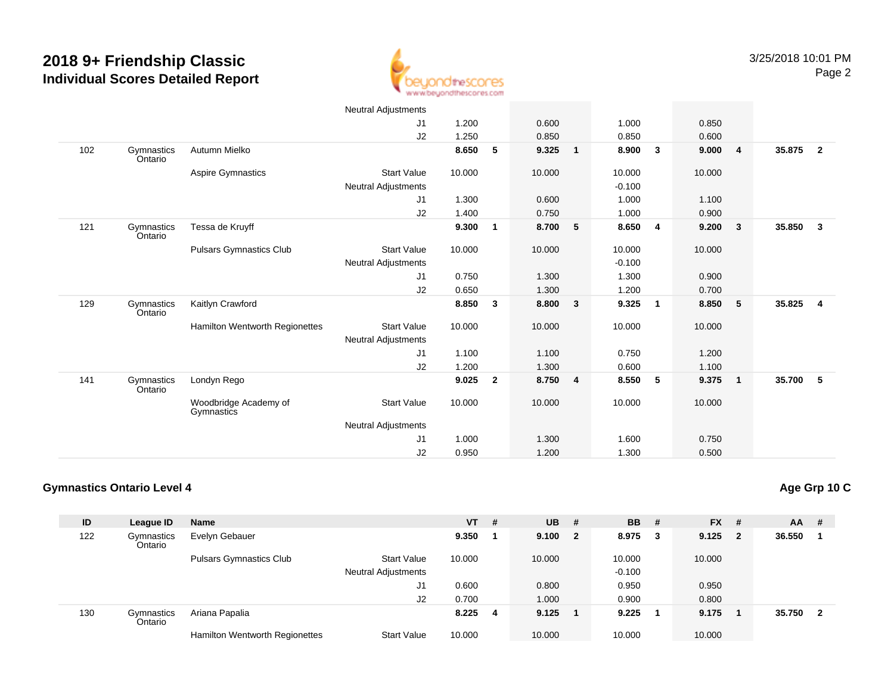

|     |                       |                                       | Neutral Adjustments        |        |                |        |                |          |                         |        |                         |        |                         |
|-----|-----------------------|---------------------------------------|----------------------------|--------|----------------|--------|----------------|----------|-------------------------|--------|-------------------------|--------|-------------------------|
|     |                       |                                       | J <sub>1</sub>             | 1.200  |                | 0.600  |                | 1.000    |                         | 0.850  |                         |        |                         |
|     |                       |                                       | J2                         | 1.250  |                | 0.850  |                | 0.850    |                         | 0.600  |                         |        |                         |
| 102 | Gymnastics<br>Ontario | Autumn Mielko                         |                            | 8.650  | 5              | 9.325  | $\overline{1}$ | 8.900    | $\mathbf{3}$            | 9.000  | $\overline{4}$          | 35.875 | $\overline{2}$          |
|     |                       | Aspire Gymnastics                     | <b>Start Value</b>         | 10.000 |                | 10.000 |                | 10.000   |                         | 10.000 |                         |        |                         |
|     |                       |                                       | Neutral Adjustments        |        |                |        |                | $-0.100$ |                         |        |                         |        |                         |
|     |                       |                                       | J <sub>1</sub>             | 1.300  |                | 0.600  |                | 1.000    |                         | 1.100  |                         |        |                         |
|     |                       |                                       | J2                         | 1.400  |                | 0.750  |                | 1.000    |                         | 0.900  |                         |        |                         |
| 121 | Gymnastics<br>Ontario | Tessa de Kruyff                       |                            | 9.300  | $\mathbf{1}$   | 8.700  | 5              | 8.650    | 4                       | 9.200  | $\overline{\mathbf{3}}$ | 35.850 | $\overline{\mathbf{3}}$ |
|     |                       | <b>Pulsars Gymnastics Club</b>        | <b>Start Value</b>         | 10.000 |                | 10.000 |                | 10.000   |                         | 10.000 |                         |        |                         |
|     |                       |                                       | <b>Neutral Adjustments</b> |        |                |        |                | $-0.100$ |                         |        |                         |        |                         |
|     |                       |                                       | J <sub>1</sub>             | 0.750  |                | 1.300  |                | 1.300    |                         | 0.900  |                         |        |                         |
|     |                       |                                       | J2                         | 0.650  |                | 1.300  |                | 1.200    |                         | 0.700  |                         |        |                         |
| 129 | Gymnastics<br>Ontario | Kaitlyn Crawford                      |                            | 8.850  | 3              | 8.800  | 3              | 9.325    | $\overline{\mathbf{1}}$ | 8.850  | - 5                     | 35.825 | $\overline{4}$          |
|     |                       | <b>Hamilton Wentworth Regionettes</b> | <b>Start Value</b>         | 10.000 |                | 10.000 |                | 10.000   |                         | 10.000 |                         |        |                         |
|     |                       |                                       | <b>Neutral Adjustments</b> |        |                |        |                |          |                         |        |                         |        |                         |
|     |                       |                                       | J1                         | 1.100  |                | 1.100  |                | 0.750    |                         | 1.200  |                         |        |                         |
|     |                       |                                       | J2                         | 1.200  |                | 1.300  |                | 0.600    |                         | 1.100  |                         |        |                         |
| 141 | Gymnastics<br>Ontario | Londyn Rego                           |                            | 9.025  | $\overline{2}$ | 8.750  | $\overline{4}$ | 8.550    | 5                       | 9.375  | $\overline{\mathbf{1}}$ | 35.700 | 5                       |
|     |                       | Woodbridge Academy of<br>Gymnastics   | <b>Start Value</b>         | 10.000 |                | 10.000 |                | 10.000   |                         | 10.000 |                         |        |                         |
|     |                       |                                       | Neutral Adjustments        |        |                |        |                |          |                         |        |                         |        |                         |
|     |                       |                                       | J <sub>1</sub>             | 1.000  |                | 1.300  |                | 1.600    |                         | 0.750  |                         |        |                         |
|     |                       |                                       | J <sub>2</sub>             | 0.950  |                | 1.200  |                | 1.300    |                         | 0.500  |                         |        |                         |

### **Gymnastics Ontario Level 4**

| ID  | League ID             | <b>Name</b>                           |                            | $VT$ # |   | <b>UB</b> | - # | <b>BB</b> | -# | <b>FX</b> | #  | <b>AA</b> | - # |
|-----|-----------------------|---------------------------------------|----------------------------|--------|---|-----------|-----|-----------|----|-----------|----|-----------|-----|
| 122 | Gymnastics<br>Ontario | Evelyn Gebauer                        |                            | 9.350  |   | 9.100 2   |     | 8.975     | -3 | 9.125     | -2 | 36.550    |     |
|     |                       | <b>Pulsars Gymnastics Club</b>        | <b>Start Value</b>         | 10.000 |   | 10.000    |     | 10.000    |    | 10.000    |    |           |     |
|     |                       |                                       | <b>Neutral Adjustments</b> |        |   |           |     | $-0.100$  |    |           |    |           |     |
|     |                       |                                       | J1                         | 0.600  |   | 0.800     |     | 0.950     |    | 0.950     |    |           |     |
|     |                       |                                       | J <sub>2</sub>             | 0.700  |   | 1.000     |     | 0.900     |    | 0.800     |    |           |     |
| 130 | Gymnastics<br>Ontario | Ariana Papalia                        |                            | 8.225  | 4 | 9.125     |     | 9.225     |    | 9.175     |    | 35.750    | 2   |
|     |                       | <b>Hamilton Wentworth Regionettes</b> | <b>Start Value</b>         | 10.000 |   | 10.000    |     | 10.000    |    | 10.000    |    |           |     |

**Age Grp 10 C**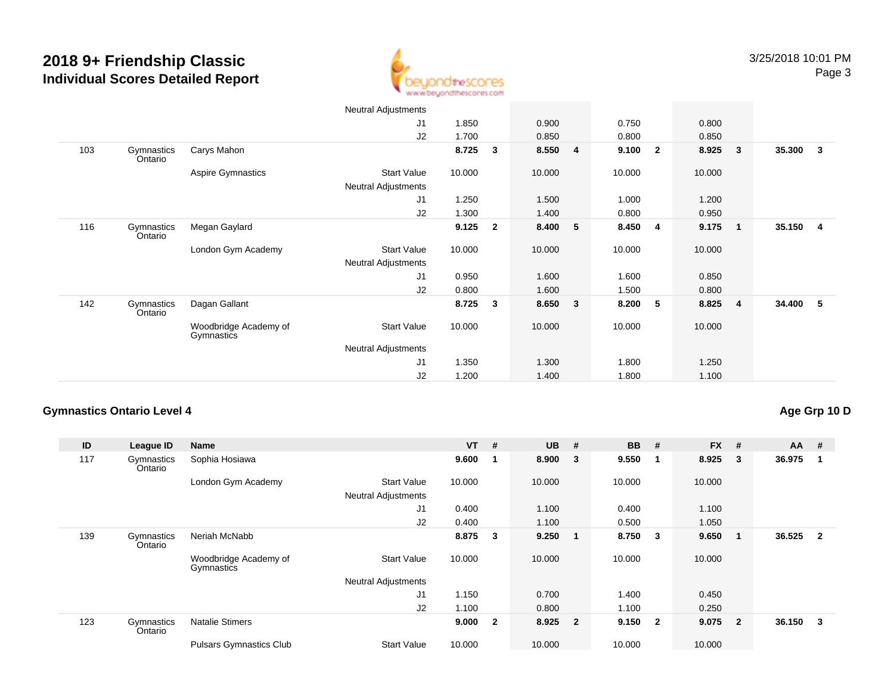

|                              |                                     | Neutral Adjustments        |        |                |         |              |        |                         |        |                         |        |                |
|------------------------------|-------------------------------------|----------------------------|--------|----------------|---------|--------------|--------|-------------------------|--------|-------------------------|--------|----------------|
|                              |                                     | J <sub>1</sub>             | 1.850  |                | 0.900   |              | 0.750  |                         | 0.800  |                         |        |                |
|                              |                                     | J2                         | 1.700  |                | 0.850   |              | 0.800  |                         | 0.850  |                         |        |                |
| 103<br>Gymnastics<br>Ontario | Carys Mahon                         |                            | 8.725  | 3              | 8.550 4 |              | 9.100  | $\overline{2}$          | 8.925  | $\overline{\mathbf{3}}$ | 35.300 | 3              |
|                              | <b>Aspire Gymnastics</b>            | <b>Start Value</b>         | 10.000 |                | 10.000  |              | 10.000 |                         | 10.000 |                         |        |                |
|                              |                                     | Neutral Adjustments        |        |                |         |              |        |                         |        |                         |        |                |
|                              |                                     | J <sub>1</sub>             | 1.250  |                | 1.500   |              | 1.000  |                         | 1.200  |                         |        |                |
|                              |                                     | J2                         | 1.300  |                | 1.400   |              | 0.800  |                         | 0.950  |                         |        |                |
| 116<br>Gymnastics<br>Ontario | Megan Gaylard                       |                            | 9.125  | $\overline{2}$ | 8.400   | 5            | 8.450  | $\overline{\mathbf{4}}$ | 9.175  | $\overline{\mathbf{1}}$ | 35.150 | $\overline{4}$ |
|                              | London Gym Academy                  | Start Value                | 10.000 |                | 10.000  |              | 10.000 |                         | 10.000 |                         |        |                |
|                              |                                     | <b>Neutral Adjustments</b> |        |                |         |              |        |                         |        |                         |        |                |
|                              |                                     | J <sub>1</sub>             | 0.950  |                | 1.600   |              | 1.600  |                         | 0.850  |                         |        |                |
|                              |                                     | J2                         | 0.800  |                | 1.600   |              | 1.500  |                         | 0.800  |                         |        |                |
| 142<br>Gymnastics<br>Ontario | Dagan Gallant                       |                            | 8.725  | 3              | 8.650   | $\mathbf{3}$ | 8.200  | 5                       | 8.825  | $\overline{\mathbf{4}}$ | 34.400 | 5              |
|                              | Woodbridge Academy of<br>Gymnastics | Start Value                | 10.000 |                | 10.000  |              | 10.000 |                         | 10.000 |                         |        |                |
|                              |                                     | <b>Neutral Adjustments</b> |        |                |         |              |        |                         |        |                         |        |                |
|                              |                                     | J <sub>1</sub>             | 1.350  |                | 1.300   |              | 1.800  |                         | 1.250  |                         |        |                |
|                              |                                     | J2                         | 1.200  |                | 1.400   |              | 1.800  |                         | 1.100  |                         |        |                |

### **Gymnastics Ontario Level 4**

### **Age Grp 10 D**

| ID  | League ID             | Name                                |                            | <b>VT</b> | #              | <b>UB</b> | #                       | <b>BB</b> | #                       | <b>FX</b> | #              | $AA$ # |                |
|-----|-----------------------|-------------------------------------|----------------------------|-----------|----------------|-----------|-------------------------|-----------|-------------------------|-----------|----------------|--------|----------------|
| 117 | Gymnastics<br>Ontario | Sophia Hosiawa                      |                            | 9.600     |                | 8.900     | 3                       | 9.550     | -1                      | 8.925     | 3              | 36.975 |                |
|     |                       | London Gym Academy                  | <b>Start Value</b>         | 10.000    |                | 10.000    |                         | 10.000    |                         | 10.000    |                |        |                |
|     |                       |                                     | <b>Neutral Adjustments</b> |           |                |           |                         |           |                         |           |                |        |                |
|     |                       |                                     | J1                         | 0.400     |                | 1.100     |                         | 0.400     |                         | 1.100     |                |        |                |
|     |                       |                                     | J2                         | 0.400     |                | 1.100     |                         | 0.500     |                         | 1.050     |                |        |                |
| 139 | Gymnastics<br>Ontario | Neriah McNabb                       |                            | 8.875     | 3              | 9.250     | $\overline{1}$          | 8.750     | $\overline{\mathbf{3}}$ | 9.650     | -1             | 36.525 | $\overline{2}$ |
|     |                       | Woodbridge Academy of<br>Gymnastics | <b>Start Value</b>         | 10.000    |                | 10.000    |                         | 10.000    |                         | 10.000    |                |        |                |
|     |                       |                                     | <b>Neutral Adjustments</b> |           |                |           |                         |           |                         |           |                |        |                |
|     |                       |                                     | J1                         | 1.150     |                | 0.700     |                         | 1.400     |                         | 0.450     |                |        |                |
|     |                       |                                     | J2                         | 1.100     |                | 0.800     |                         | 1.100     |                         | 0.250     |                |        |                |
| 123 | Gymnastics<br>Ontario | <b>Natalie Stimers</b>              |                            | 9.000     | $\overline{2}$ | 8.925     | $\overline{\mathbf{2}}$ | 9.150     | $\overline{\mathbf{2}}$ | 9.075     | $\overline{2}$ | 36.150 | 3              |
|     |                       | <b>Pulsars Gymnastics Club</b>      | <b>Start Value</b>         | 10.000    |                | 10.000    |                         | 10.000    |                         | 10.000    |                |        |                |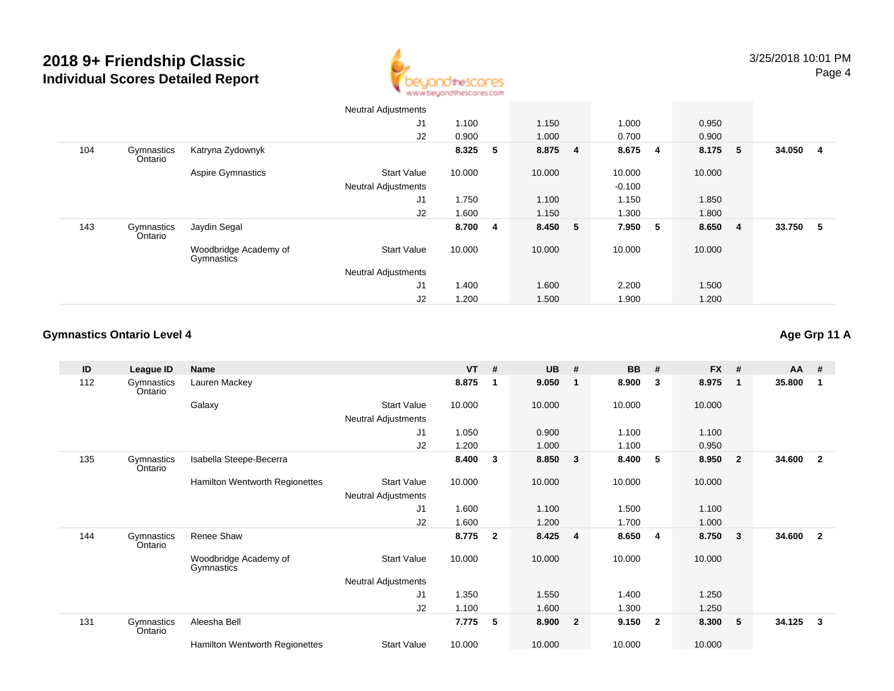

|     |                       |                                     | <b>Neutral Adjustments</b> |        |   |         |   |          |                         |        |     |        |   |
|-----|-----------------------|-------------------------------------|----------------------------|--------|---|---------|---|----------|-------------------------|--------|-----|--------|---|
|     |                       |                                     | J1                         | 1.100  |   | 1.150   |   | 1.000    |                         | 0.950  |     |        |   |
|     |                       |                                     | J2                         | 0.900  |   | 1.000   |   | 0.700    |                         | 0.900  |     |        |   |
| 104 | Gymnastics<br>Ontario | Katryna Zydownyk                    |                            | 8.325  | 5 | 8.875 4 |   | 8.675    | $\overline{\mathbf{4}}$ | 8.175  | -5  | 34.050 | 4 |
|     |                       | <b>Aspire Gymnastics</b>            | <b>Start Value</b>         | 10.000 |   | 10.000  |   | 10.000   |                         | 10.000 |     |        |   |
|     |                       |                                     | <b>Neutral Adjustments</b> |        |   |         |   | $-0.100$ |                         |        |     |        |   |
|     |                       |                                     | J1                         | 1.750  |   | 1.100   |   | 1.150    |                         | 1.850  |     |        |   |
|     |                       |                                     | J2                         | 1.600  |   | 1.150   |   | 1.300    |                         | 1.800  |     |        |   |
| 143 | Gymnastics<br>Ontario | Jaydin Segal                        |                            | 8.700  | 4 | 8.450   | 5 | 7.950    | $-5$                    | 8.650  | - 4 | 33.750 | 5 |
|     |                       | Woodbridge Academy of<br>Gymnastics | <b>Start Value</b>         | 10.000 |   | 10.000  |   | 10.000   |                         | 10.000 |     |        |   |
|     |                       |                                     | <b>Neutral Adjustments</b> |        |   |         |   |          |                         |        |     |        |   |
|     |                       |                                     | J1                         | 1.400  |   | 1.600   |   | 2.200    |                         | 1.500  |     |        |   |
|     |                       |                                     | J <sub>2</sub>             | 1.200  |   | 1.500   |   | 1.900    |                         | 1.200  |     |        |   |

### **Gymnastics Ontario Level 4**

**Age Grp 11 A**

| ID  | League ID             | <b>Name</b>                         |                            | <b>VT</b> | #              | <b>UB</b> | #                       | <b>BB</b> | #                       | <b>FX</b> | #              | $AA$ # |                |
|-----|-----------------------|-------------------------------------|----------------------------|-----------|----------------|-----------|-------------------------|-----------|-------------------------|-----------|----------------|--------|----------------|
| 112 | Gymnastics<br>Ontario | Lauren Mackey                       |                            | 8.875     | -1             | 9.050     | $\overline{1}$          | 8.900     | $\mathbf{3}$            | 8.975     | 1              | 35.800 |                |
|     |                       | Galaxy                              | <b>Start Value</b>         | 10.000    |                | 10.000    |                         | 10.000    |                         | 10.000    |                |        |                |
|     |                       |                                     | Neutral Adjustments        |           |                |           |                         |           |                         |           |                |        |                |
|     |                       |                                     | J1                         | 1.050     |                | 0.900     |                         | 1.100     |                         | 1.100     |                |        |                |
|     |                       |                                     | J2                         | 1.200     |                | 1.000     |                         | 1.100     |                         | 0.950     |                |        |                |
| 135 | Gymnastics<br>Ontario | Isabella Steepe-Becerra             |                            | 8.400     | 3              | 8.850     | $\overline{\mathbf{3}}$ | 8.400     | -5                      | 8.950     | $\overline{2}$ | 34.600 | $\overline{2}$ |
|     |                       | Hamilton Wentworth Regionettes      | <b>Start Value</b>         | 10.000    |                | 10.000    |                         | 10.000    |                         | 10.000    |                |        |                |
|     |                       |                                     | Neutral Adjustments        |           |                |           |                         |           |                         |           |                |        |                |
|     |                       |                                     | J <sub>1</sub>             | 1.600     |                | 1.100     |                         | 1.500     |                         | 1.100     |                |        |                |
|     |                       |                                     | J2                         | 1.600     |                | 1.200     |                         | 1.700     |                         | 1.000     |                |        |                |
| 144 | Gymnastics<br>Ontario | Renee Shaw                          |                            | 8.775     | $\overline{2}$ | 8.425     | $\overline{\mathbf{4}}$ | 8.650     | $\overline{4}$          | 8.750     | 3              | 34.600 | $\overline{2}$ |
|     |                       | Woodbridge Academy of<br>Gymnastics | <b>Start Value</b>         | 10.000    |                | 10.000    |                         | 10.000    |                         | 10.000    |                |        |                |
|     |                       |                                     | <b>Neutral Adjustments</b> |           |                |           |                         |           |                         |           |                |        |                |
|     |                       |                                     | J <sub>1</sub>             | 1.350     |                | 1.550     |                         | 1.400     |                         | 1.250     |                |        |                |
|     |                       |                                     | J2                         | 1.100     |                | 1.600     |                         | 1.300     |                         | 1.250     |                |        |                |
| 131 | Gymnastics<br>Ontario | Aleesha Bell                        |                            | 7.775     | 5              | 8.900     | $\overline{2}$          | 9.150     | $\overline{\mathbf{2}}$ | 8.300     | 5              | 34.125 | 3              |
|     |                       | Hamilton Wentworth Regionettes      | <b>Start Value</b>         | 10.000    |                | 10.000    |                         | 10.000    |                         | 10.000    |                |        |                |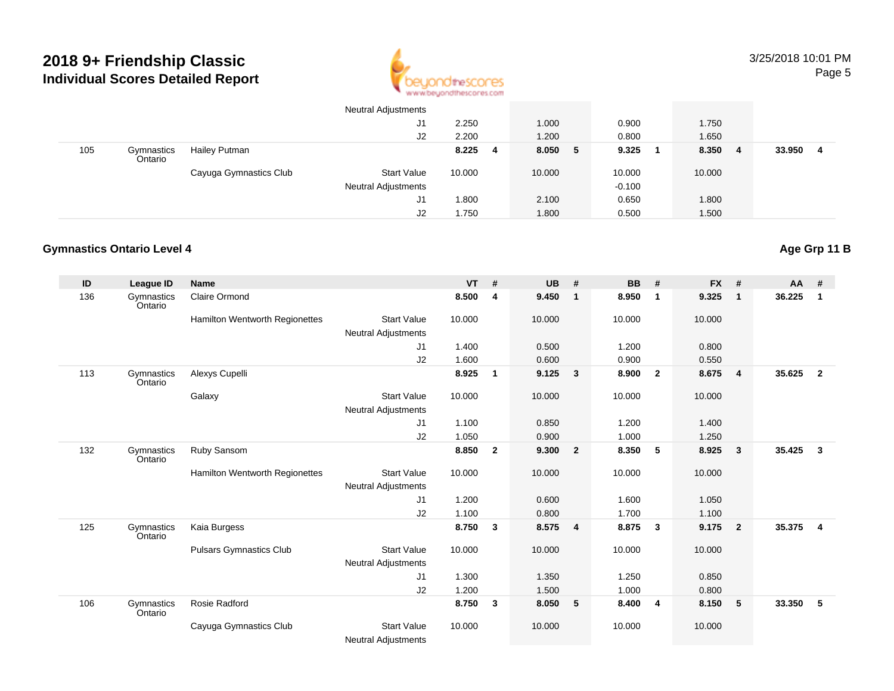

|     |                       |                        | <b>Neutral Adjustments</b> |        |    |        |            |        |                |        |   |
|-----|-----------------------|------------------------|----------------------------|--------|----|--------|------------|--------|----------------|--------|---|
|     |                       |                        | J1                         | 2.250  |    | 1.000  | 0.900      | 1.750  |                |        |   |
|     |                       |                        | J2                         | 2.200  |    | 1.200  | 0.800      | 1.650  |                |        |   |
| 105 | Gymnastics<br>Ontario | Hailey Putman          |                            | 8.225  | -4 | 8.050  | 9.325<br>5 | 8.350  | $\overline{4}$ | 33.950 | 4 |
|     |                       | Cayuga Gymnastics Club | Start Value                | 10.000 |    | 10.000 | 10.000     | 10.000 |                |        |   |
|     |                       |                        | <b>Neutral Adjustments</b> |        |    |        | $-0.100$   |        |                |        |   |
|     |                       |                        | J1                         | .800   |    | 2.100  | 0.650      | 1.800  |                |        |   |
|     |                       |                        | J2                         | 1.750  |    | 1.800  | 0.500      | 1.500  |                |        |   |

### **Gymnastics Ontario Level 4**

| ID  | League ID             | <b>Name</b>                    |                            | <b>VT</b> | #            | <b>UB</b> | #                       | <b>BB</b> | #                       | <b>FX</b> | #                       | AA     | #              |
|-----|-----------------------|--------------------------------|----------------------------|-----------|--------------|-----------|-------------------------|-----------|-------------------------|-----------|-------------------------|--------|----------------|
| 136 | Gymnastics<br>Ontario | <b>Claire Ormond</b>           |                            | 8.500     | 4            | 9.450     | $\mathbf{1}$            | 8.950     | $\overline{\mathbf{1}}$ | 9.325     | $\mathbf{1}$            | 36.225 | 1              |
|     |                       | Hamilton Wentworth Regionettes | <b>Start Value</b>         | 10.000    |              | 10.000    |                         | 10.000    |                         | 10.000    |                         |        |                |
|     |                       |                                | <b>Neutral Adjustments</b> |           |              |           |                         |           |                         |           |                         |        |                |
|     |                       |                                | J1                         | 1.400     |              | 0.500     |                         | 1.200     |                         | 0.800     |                         |        |                |
|     |                       |                                | J2                         | 1.600     |              | 0.600     |                         | 0.900     |                         | 0.550     |                         |        |                |
| 113 | Gymnastics<br>Ontario | Alexys Cupelli                 |                            | 8.925     | $\mathbf{1}$ | 9.125     | $\overline{\mathbf{3}}$ | 8.900     | $\overline{2}$          | 8.675     | $\overline{4}$          | 35.625 | $\overline{2}$ |
|     |                       | Galaxy                         | <b>Start Value</b>         | 10.000    |              | 10.000    |                         | 10.000    |                         | 10.000    |                         |        |                |
|     |                       |                                | <b>Neutral Adjustments</b> |           |              |           |                         |           |                         |           |                         |        |                |
|     |                       |                                | J1                         | 1.100     |              | 0.850     |                         | 1.200     |                         | 1.400     |                         |        |                |
|     |                       |                                | J2                         | 1.050     |              | 0.900     |                         | 1.000     |                         | 1.250     |                         |        |                |
| 132 | Gymnastics<br>Ontario | Ruby Sansom                    |                            | 8.850     | $\mathbf{2}$ | 9.300     | $\overline{2}$          | 8.350     | 5                       | 8.925     | $\mathbf{3}$            | 35.425 | $\mathbf{3}$   |
|     |                       | Hamilton Wentworth Regionettes | <b>Start Value</b>         | 10.000    |              | 10.000    |                         | 10.000    |                         | 10.000    |                         |        |                |
|     |                       |                                | <b>Neutral Adjustments</b> |           |              |           |                         |           |                         |           |                         |        |                |
|     |                       |                                | J1                         | 1.200     |              | 0.600     |                         | 1.600     |                         | 1.050     |                         |        |                |
|     |                       |                                | J2                         | 1.100     |              | 0.800     |                         | 1.700     |                         | 1.100     |                         |        |                |
| 125 | Gymnastics<br>Ontario | Kaia Burgess                   |                            | 8.750     | 3            | 8.575 4   |                         | 8.875     | $\overline{\mathbf{3}}$ | 9.175     | $\overline{\mathbf{2}}$ | 35.375 | $\overline{4}$ |
|     |                       | <b>Pulsars Gymnastics Club</b> | <b>Start Value</b>         | 10.000    |              | 10.000    |                         | 10.000    |                         | 10.000    |                         |        |                |
|     |                       |                                | <b>Neutral Adjustments</b> |           |              |           |                         |           |                         |           |                         |        |                |
|     |                       |                                | J1                         | 1.300     |              | 1.350     |                         | 1.250     |                         | 0.850     |                         |        |                |
|     |                       |                                | J2                         | 1.200     |              | 1.500     |                         | 1.000     |                         | 0.800     |                         |        |                |
| 106 | Gymnastics<br>Ontario | Rosie Radford                  |                            | 8.750     | 3            | 8.050     | 5                       | 8.400     | $\overline{\mathbf{4}}$ | 8.150     | 5                       | 33.350 | 5              |
|     |                       | Cayuga Gymnastics Club         | <b>Start Value</b>         | 10.000    |              | 10.000    |                         | 10.000    |                         | 10.000    |                         |        |                |
|     |                       |                                | <b>Neutral Adjustments</b> |           |              |           |                         |           |                         |           |                         |        |                |

**Age Grp 11 B**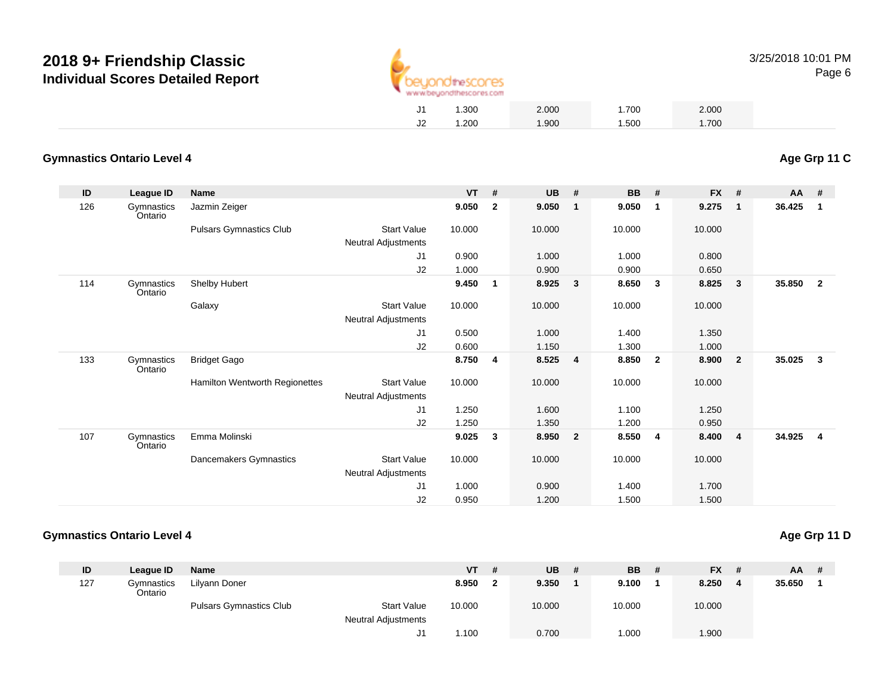

| J1 | 1.300 | 2.000 | 1.700 | 2.000 |
|----|-------|-------|-------|-------|
| J2 | 1.200 | 1.900 | 1.500 | 1.700 |

#### **Gymnastics Ontario Level 4Age Grp 11 C**

| ID  | <b>League ID</b>      | <b>Name</b>                           |                            | <b>VT</b> | #            | <b>UB</b> | #                       | <b>BB</b> | #                       | FX #   |                         | AA #   |                |
|-----|-----------------------|---------------------------------------|----------------------------|-----------|--------------|-----------|-------------------------|-----------|-------------------------|--------|-------------------------|--------|----------------|
| 126 | Gymnastics<br>Ontario | Jazmin Zeiger                         |                            | 9.050     | $\mathbf{2}$ | 9.050     | $\mathbf{1}$            | 9.050     | $\mathbf{1}$            | 9.275  | $\mathbf{1}$            | 36.425 | $\mathbf 1$    |
|     |                       | <b>Pulsars Gymnastics Club</b>        | <b>Start Value</b>         | 10.000    |              | 10.000    |                         | 10.000    |                         | 10.000 |                         |        |                |
|     |                       |                                       | <b>Neutral Adjustments</b> |           |              |           |                         |           |                         |        |                         |        |                |
|     |                       |                                       | J1                         | 0.900     |              | 1.000     |                         | 1.000     |                         | 0.800  |                         |        |                |
|     |                       |                                       | J2                         | 1.000     |              | 0.900     |                         | 0.900     |                         | 0.650  |                         |        |                |
| 114 | Gymnastics<br>Ontario | Shelby Hubert                         |                            | 9.450     | $\mathbf{1}$ | 8.925     | $\mathbf{3}$            | 8.650     | - 3                     | 8.825  | 3                       | 35.850 | $\overline{2}$ |
|     |                       | Galaxy                                | <b>Start Value</b>         | 10.000    |              | 10.000    |                         | 10.000    |                         | 10.000 |                         |        |                |
|     |                       |                                       | <b>Neutral Adjustments</b> |           |              |           |                         |           |                         |        |                         |        |                |
|     |                       |                                       | J <sub>1</sub>             | 0.500     |              | 1.000     |                         | 1.400     |                         | 1.350  |                         |        |                |
|     |                       |                                       | J2                         | 0.600     |              | 1.150     |                         | 1.300     |                         | 1.000  |                         |        |                |
| 133 | Gymnastics<br>Ontario | <b>Bridget Gago</b>                   |                            | 8.750     | 4            | 8.525     | $\overline{\mathbf{4}}$ | 8.850     | $\overline{\mathbf{2}}$ | 8.900  | $\overline{2}$          | 35.025 |                |
|     |                       | <b>Hamilton Wentworth Regionettes</b> | <b>Start Value</b>         | 10.000    |              | 10.000    |                         | 10.000    |                         | 10.000 |                         |        |                |
|     |                       |                                       | <b>Neutral Adjustments</b> |           |              |           |                         |           |                         |        |                         |        |                |
|     |                       |                                       | J1                         | 1.250     |              | 1.600     |                         | 1.100     |                         | 1.250  |                         |        |                |
|     |                       |                                       | J2                         | 1.250     |              | 1.350     |                         | 1.200     |                         | 0.950  |                         |        |                |
| 107 | Gymnastics<br>Ontario | Emma Molinski                         |                            | 9.025     | 3            | 8.950     | $\overline{2}$          | 8.550     | - 4                     | 8.400  | $\overline{\mathbf{4}}$ | 34.925 |                |
|     |                       | Dancemakers Gymnastics                | <b>Start Value</b>         | 10.000    |              | 10.000    |                         | 10.000    |                         | 10.000 |                         |        |                |
|     |                       |                                       | Neutral Adjustments        |           |              |           |                         |           |                         |        |                         |        |                |
|     |                       |                                       | J <sub>1</sub>             | 1.000     |              | 0.900     |                         | 1.400     |                         | 1.700  |                         |        |                |
|     |                       |                                       | J2                         | 0.950     |              | 1.200     |                         | 1.500     |                         | 1.500  |                         |        |                |

| Age Grp 11 D |  |  |
|--------------|--|--|
|              |  |  |

| ID  | League ID             | Name                           |                                                  | $VT$ # | <b>UB</b> | <b>BB</b> # | $FX$ # |        | $AA$ # |
|-----|-----------------------|--------------------------------|--------------------------------------------------|--------|-----------|-------------|--------|--------|--------|
| 127 | Gymnastics<br>Ontario | Lilyann Doner                  |                                                  | 8.950  | 9.350     | 9.100       | 8.250  | 35.650 |        |
|     |                       | <b>Pulsars Gymnastics Club</b> | <b>Start Value</b><br><b>Neutral Adjustments</b> | 10.000 | 10.000    | 10.000      | 10.000 |        |        |
|     |                       |                                |                                                  | 1.100  | 0.700     | .000        | 1.900  |        |        |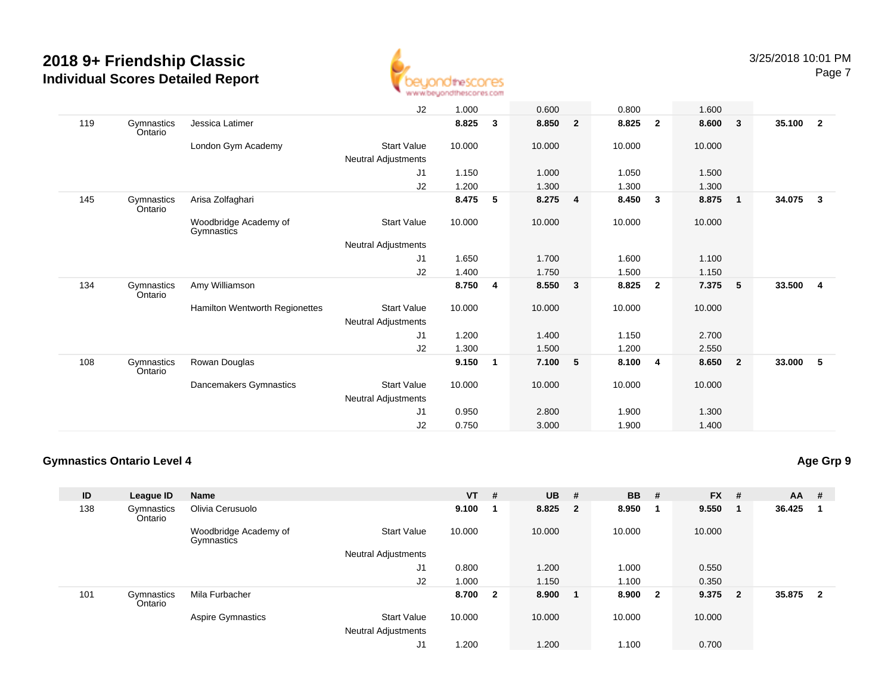

|     |                       |                                     | J2                         | 1.000  |   | 0.600  |                         | 0.800  |                | 1.600  |                         |        |                         |
|-----|-----------------------|-------------------------------------|----------------------------|--------|---|--------|-------------------------|--------|----------------|--------|-------------------------|--------|-------------------------|
| 119 | Gymnastics<br>Ontario | Jessica Latimer                     |                            | 8.825  | 3 | 8.850  | $\overline{2}$          | 8.825  | $\mathbf{2}$   | 8.600  | $\overline{\mathbf{3}}$ | 35.100 | $\overline{\mathbf{2}}$ |
|     |                       | London Gym Academy                  | <b>Start Value</b>         | 10.000 |   | 10.000 |                         | 10.000 |                | 10.000 |                         |        |                         |
|     |                       |                                     | <b>Neutral Adjustments</b> |        |   |        |                         |        |                |        |                         |        |                         |
|     |                       |                                     | J1                         | 1.150  |   | 1.000  |                         | 1.050  |                | 1.500  |                         |        |                         |
|     |                       |                                     | J2                         | 1.200  |   | 1.300  |                         | 1.300  |                | 1.300  |                         |        |                         |
| 145 | Gymnastics<br>Ontario | Arisa Zolfaghari                    |                            | 8.475  | 5 | 8.275  | 4                       | 8.450  | 3              | 8.875  | $\overline{\mathbf{1}}$ | 34.075 | $\mathbf{3}$            |
|     |                       | Woodbridge Academy of<br>Gymnastics | Start Value                | 10.000 |   | 10.000 |                         | 10.000 |                | 10.000 |                         |        |                         |
|     |                       |                                     | Neutral Adjustments        |        |   |        |                         |        |                |        |                         |        |                         |
|     |                       |                                     | J1                         | 1.650  |   | 1.700  |                         | 1.600  |                | 1.100  |                         |        |                         |
|     |                       |                                     | J2                         | 1.400  |   | 1.750  |                         | 1.500  |                | 1.150  |                         |        |                         |
| 134 | Gymnastics<br>Ontario | Amy Williamson                      |                            | 8.750  | 4 | 8.550  | $\overline{\mathbf{3}}$ | 8.825  | $\overline{2}$ | 7.375  | $-5$                    | 33.500 | $\overline{\mathbf{4}}$ |
|     |                       | Hamilton Wentworth Regionettes      | <b>Start Value</b>         | 10.000 |   | 10.000 |                         | 10.000 |                | 10.000 |                         |        |                         |
|     |                       |                                     | Neutral Adjustments        |        |   |        |                         |        |                |        |                         |        |                         |
|     |                       |                                     | J <sub>1</sub>             | 1.200  |   | 1.400  |                         | 1.150  |                | 2.700  |                         |        |                         |
|     |                       |                                     | J2                         | 1.300  |   | 1.500  |                         | 1.200  |                | 2.550  |                         |        |                         |
| 108 | Gymnastics<br>Ontario | Rowan Douglas                       |                            | 9.150  | 1 | 7.100  | 5                       | 8.100  | 4              | 8.650  | $\overline{\mathbf{2}}$ | 33.000 | - 5                     |
|     |                       | Dancemakers Gymnastics              | <b>Start Value</b>         | 10.000 |   | 10.000 |                         | 10.000 |                | 10.000 |                         |        |                         |
|     |                       |                                     | Neutral Adjustments        |        |   |        |                         |        |                |        |                         |        |                         |
|     |                       |                                     | J <sub>1</sub>             | 0.950  |   | 2.800  |                         | 1.900  |                | 1.300  |                         |        |                         |
|     |                       |                                     | J2                         | 0.750  |   | 3.000  |                         | 1.900  |                | 1.400  |                         |        |                         |

### **Gymnastics Ontario Level 4**

| ID  | League ID             | Name                                |                                           | <b>VT</b> | #                       | <b>UB</b> | #   | <b>BB</b> | #                       | <b>FX</b> | #            | $AA$ # |                |
|-----|-----------------------|-------------------------------------|-------------------------------------------|-----------|-------------------------|-----------|-----|-----------|-------------------------|-----------|--------------|--------|----------------|
| 138 | Gymnastics<br>Ontario | Olivia Cerusuolo                    |                                           | 9.100     | - 1                     | 8.825     | - 2 | 8.950     |                         | 9.550     |              | 36.425 |                |
|     |                       | Woodbridge Academy of<br>Gymnastics | <b>Start Value</b>                        | 10.000    |                         | 10.000    |     | 10.000    |                         | 10.000    |              |        |                |
|     |                       |                                     | Neutral Adjustments                       |           |                         |           |     |           |                         |           |              |        |                |
|     |                       |                                     | J1                                        | 0.800     |                         | 1.200     |     | 1.000     |                         | 0.550     |              |        |                |
|     |                       |                                     | J <sub>2</sub>                            | 1.000     |                         | 1.150     |     | 1.100     |                         | 0.350     |              |        |                |
| 101 | Gymnastics<br>Ontario | Mila Furbacher                      |                                           | 8.700     | $\overline{\mathbf{2}}$ | 8.900     |     | 8.900     | $\overline{\mathbf{2}}$ | 9.375     | $\mathbf{2}$ | 35.875 | $\overline{2}$ |
|     |                       | Aspire Gymnastics                   | <b>Start Value</b><br>Neutral Adjustments | 10.000    |                         | 10.000    |     | 10.000    |                         | 10.000    |              |        |                |
|     |                       |                                     | J1                                        | 1.200     |                         | 1.200     |     | 1.100     |                         | 0.700     |              |        |                |

### **Age Grp 9**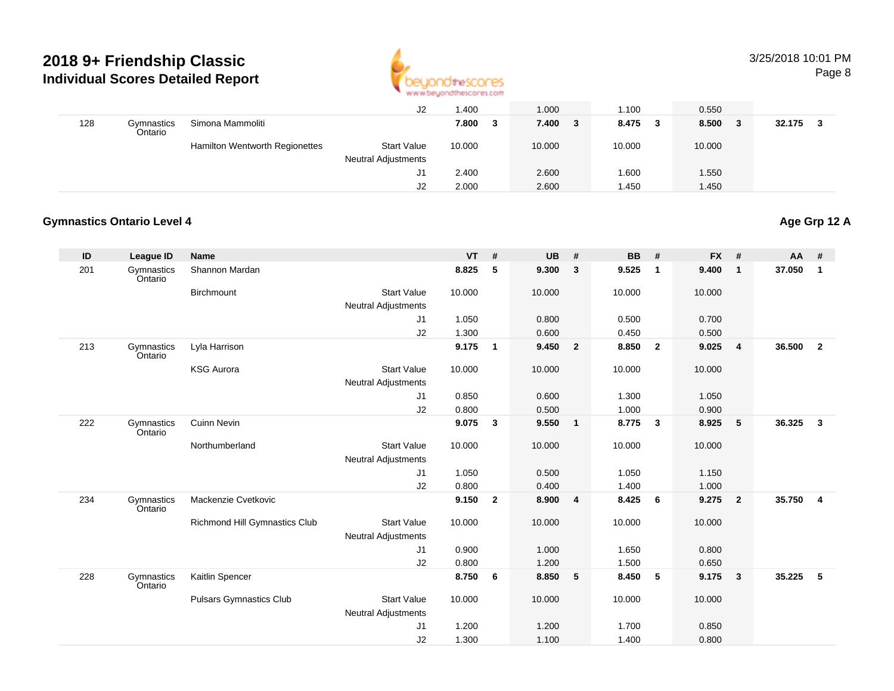

#### 3/25/2018 10:01 PMPage 8

|     |                       |                                | J2                         | 1.400  | 1.000      | .100         | 0.550      |        |
|-----|-----------------------|--------------------------------|----------------------------|--------|------------|--------------|------------|--------|
| 128 | Gymnastics<br>Ontario | Simona Mammoliti               |                            | 7.800  | 7.400<br>3 | 8.475<br>- 3 | 8.500<br>3 | 32.175 |
|     |                       | Hamilton Wentworth Regionettes | <b>Start Value</b>         | 10.000 | 10.000     | 10.000       | 10.000     |        |
|     |                       |                                | <b>Neutral Adjustments</b> |        |            |              |            |        |
|     |                       |                                | J1                         | 2.400  | 2.600      | .600         | 1.550      |        |
|     |                       |                                | J2                         | 2.000  | 2.600      | 1.450        | 1.450      |        |

### **Gymnastics Ontario Level 4**

## **Age Grp 12 A**

| ID  | <b>League ID</b>      | <b>Name</b>                    |                            | <b>VT</b> | #              | <b>UB</b> | #                       | <b>BB</b> | #                       | <b>FX</b> | #              | AA     | #              |
|-----|-----------------------|--------------------------------|----------------------------|-----------|----------------|-----------|-------------------------|-----------|-------------------------|-----------|----------------|--------|----------------|
| 201 | Gymnastics<br>Ontario | Shannon Mardan                 |                            | 8.825     | 5              | 9.300     | $\mathbf{3}$            | 9.525     | $\overline{1}$          | 9.400     | $\mathbf{1}$   | 37.050 | 1              |
|     |                       | Birchmount                     | <b>Start Value</b>         | 10.000    |                | 10.000    |                         | 10.000    |                         | 10.000    |                |        |                |
|     |                       |                                | <b>Neutral Adjustments</b> |           |                |           |                         |           |                         |           |                |        |                |
|     |                       |                                | J1                         | 1.050     |                | 0.800     |                         | 0.500     |                         | 0.700     |                |        |                |
|     |                       |                                | J2                         | 1.300     |                | 0.600     |                         | 0.450     |                         | 0.500     |                |        |                |
| 213 | Gymnastics<br>Ontario | Lyla Harrison                  |                            | 9.175     | $\mathbf{1}$   | 9.450     | $\overline{\mathbf{2}}$ | 8.850     | $\overline{\mathbf{2}}$ | 9.025     | $\overline{4}$ | 36.500 | $\overline{2}$ |
|     |                       | <b>KSG Aurora</b>              | <b>Start Value</b>         | 10.000    |                | 10.000    |                         | 10.000    |                         | 10.000    |                |        |                |
|     |                       |                                | <b>Neutral Adjustments</b> |           |                |           |                         |           |                         |           |                |        |                |
|     |                       |                                | J1                         | 0.850     |                | 0.600     |                         | 1.300     |                         | 1.050     |                |        |                |
|     |                       |                                | J2                         | 0.800     |                | 0.500     |                         | 1.000     |                         | 0.900     |                |        |                |
| 222 | Gymnastics<br>Ontario | <b>Cuinn Nevin</b>             |                            | 9.075     | 3              | 9.550     | $\overline{\mathbf{1}}$ | 8.775     | $\overline{\mathbf{3}}$ | 8.925     | 5              | 36.325 | $\mathbf{3}$   |
|     |                       | Northumberland                 | <b>Start Value</b>         | 10.000    |                | 10.000    |                         | 10.000    |                         | 10.000    |                |        |                |
|     |                       |                                | <b>Neutral Adjustments</b> |           |                |           |                         |           |                         |           |                |        |                |
|     |                       |                                | J1                         | 1.050     |                | 0.500     |                         | 1.050     |                         | 1.150     |                |        |                |
|     |                       |                                | J2                         | 0.800     |                | 0.400     |                         | 1.400     |                         | 1.000     |                |        |                |
| 234 | Gymnastics<br>Ontario | Mackenzie Cvetkovic            |                            | 9.150     | $\overline{2}$ | 8.900     | $\overline{\mathbf{4}}$ | 8.425     | 6                       | 9.275     | $\overline{2}$ | 35.750 | 4              |
|     |                       | Richmond Hill Gymnastics Club  | <b>Start Value</b>         | 10.000    |                | 10.000    |                         | 10.000    |                         | 10.000    |                |        |                |
|     |                       |                                | <b>Neutral Adjustments</b> |           |                |           |                         |           |                         |           |                |        |                |
|     |                       |                                | J1                         | 0.900     |                | 1.000     |                         | 1.650     |                         | 0.800     |                |        |                |
|     |                       |                                | J2                         | 0.800     |                | 1.200     |                         | 1.500     |                         | 0.650     |                |        |                |
| 228 | Gymnastics<br>Ontario | Kaitlin Spencer                |                            | 8.750     | 6              | 8.850     | 5                       | 8.450     | 5                       | 9.175     | $\mathbf{3}$   | 35.225 | 5              |
|     |                       | <b>Pulsars Gymnastics Club</b> | <b>Start Value</b>         | 10.000    |                | 10.000    |                         | 10.000    |                         | 10.000    |                |        |                |
|     |                       |                                | <b>Neutral Adjustments</b> |           |                |           |                         |           |                         |           |                |        |                |
|     |                       |                                | J1                         | 1.200     |                | 1.200     |                         | 1.700     |                         | 0.850     |                |        |                |
|     |                       |                                | J2                         | 1.300     |                | 1.100     |                         | 1.400     |                         | 0.800     |                |        |                |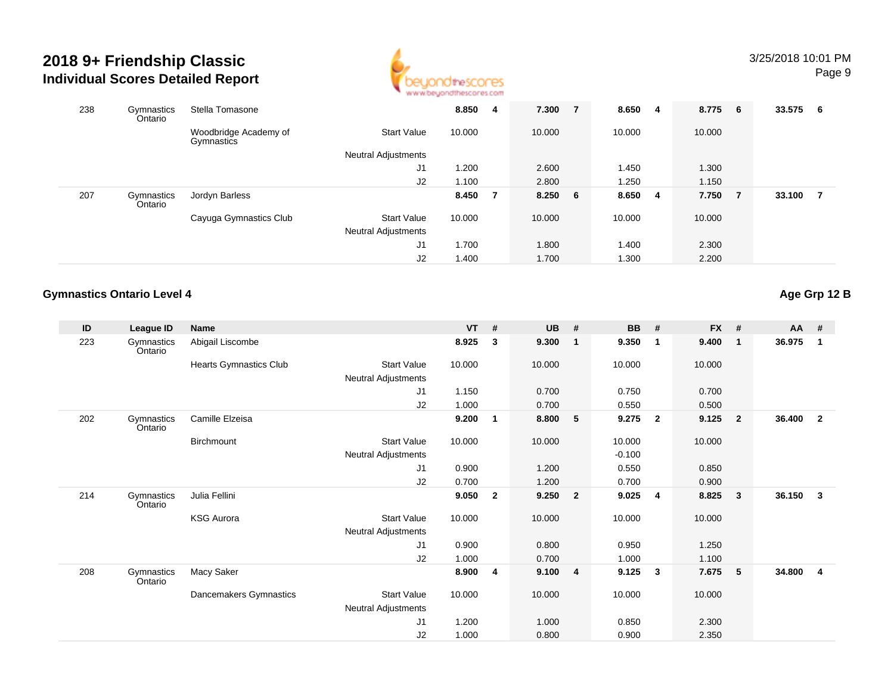

| 238 | Gymnastics<br>Ontario | Stella Tomasone                     |                            | 8.850  | 4 | 7.300      | 7 | 8.650  | 4 | 8.775 6 |     | 33.575 | - 6            |
|-----|-----------------------|-------------------------------------|----------------------------|--------|---|------------|---|--------|---|---------|-----|--------|----------------|
|     |                       | Woodbridge Academy of<br>Gymnastics | <b>Start Value</b>         | 10.000 |   | 10.000     |   | 10.000 |   | 10.000  |     |        |                |
|     |                       |                                     | <b>Neutral Adjustments</b> |        |   |            |   |        |   |         |     |        |                |
|     |                       |                                     | J <sub>1</sub>             | 1.200  |   | 2.600      |   | 1.450  |   | 1.300   |     |        |                |
|     |                       |                                     | J2                         | 1.100  |   | 2.800      |   | 1.250  |   | 1.150   |     |        |                |
| 207 | Gymnastics<br>Ontario | Jordyn Barless                      |                            | 8.450  |   | $8.250\ 6$ |   | 8.650  | 4 | 7.750   | - 7 | 33.100 | $\overline{7}$ |
|     |                       | Cayuga Gymnastics Club              | <b>Start Value</b>         | 10.000 |   | 10.000     |   | 10.000 |   | 10.000  |     |        |                |
|     |                       |                                     | Neutral Adjustments        |        |   |            |   |        |   |         |     |        |                |
|     |                       |                                     | J <sub>1</sub>             | 1.700  |   | 1.800      |   | 1.400  |   | 2.300   |     |        |                |
|     |                       |                                     | J <sub>2</sub>             | 1.400  |   | 1.700      |   | 1.300  |   | 2.200   |     |        |                |

### **Gymnastics Ontario Level 4**

**Age Grp 12 B**

| ID  | League ID             | Name                          |                            | <b>VT</b> | #            | <b>UB</b> | #                       | <b>BB</b> | #                       | <b>FX</b> | #              | $AA$ # |                |
|-----|-----------------------|-------------------------------|----------------------------|-----------|--------------|-----------|-------------------------|-----------|-------------------------|-----------|----------------|--------|----------------|
| 223 | Gymnastics<br>Ontario | Abigail Liscombe              |                            | 8.925     | 3            | 9.300     | $\overline{\mathbf{1}}$ | 9.350     | $\mathbf{1}$            | 9.400     | $\mathbf{1}$   | 36.975 | $\mathbf{1}$   |
|     |                       | <b>Hearts Gymnastics Club</b> | <b>Start Value</b>         | 10.000    |              | 10.000    |                         | 10.000    |                         | 10.000    |                |        |                |
|     |                       |                               | Neutral Adjustments        |           |              |           |                         |           |                         |           |                |        |                |
|     |                       |                               | J1                         | 1.150     |              | 0.700     |                         | 0.750     |                         | 0.700     |                |        |                |
|     |                       |                               | J2                         | 1.000     |              | 0.700     |                         | 0.550     |                         | 0.500     |                |        |                |
| 202 | Gymnastics<br>Ontario | Camille Elzeisa               |                            | 9.200     | $\mathbf 1$  | 8.800     | $-5$                    | 9.275     | $\overline{2}$          | 9.125     | $\overline{2}$ | 36.400 | $\overline{2}$ |
|     |                       | Birchmount                    | <b>Start Value</b>         | 10.000    |              | 10.000    |                         | 10.000    |                         | 10.000    |                |        |                |
|     |                       |                               | <b>Neutral Adjustments</b> |           |              |           |                         | $-0.100$  |                         |           |                |        |                |
|     |                       |                               | J1                         | 0.900     |              | 1.200     |                         | 0.550     |                         | 0.850     |                |        |                |
|     |                       |                               | J2                         | 0.700     |              | 1.200     |                         | 0.700     |                         | 0.900     |                |        |                |
| 214 | Gymnastics<br>Ontario | Julia Fellini                 |                            | 9.050     | $\mathbf{2}$ | 9.250     | $\overline{\mathbf{2}}$ | 9.025     | $\overline{\mathbf{4}}$ | 8.825     | 3              | 36.150 | 3              |
|     |                       | <b>KSG Aurora</b>             | <b>Start Value</b>         | 10.000    |              | 10.000    |                         | 10.000    |                         | 10.000    |                |        |                |
|     |                       |                               | Neutral Adjustments        |           |              |           |                         |           |                         |           |                |        |                |
|     |                       |                               | J1                         | 0.900     |              | 0.800     |                         | 0.950     |                         | 1.250     |                |        |                |
|     |                       |                               | J <sub>2</sub>             | 1.000     |              | 0.700     |                         | 1.000     |                         | 1.100     |                |        |                |
| 208 | Gymnastics<br>Ontario | Macy Saker                    |                            | 8.900     | 4            | 9.100     | $\overline{\mathbf{4}}$ | 9.125     | $\mathbf{3}$            | 7.675     | 5              | 34.800 | $\overline{4}$ |
|     |                       | Dancemakers Gymnastics        | <b>Start Value</b>         | 10.000    |              | 10.000    |                         | 10.000    |                         | 10.000    |                |        |                |
|     |                       |                               | <b>Neutral Adjustments</b> |           |              |           |                         |           |                         |           |                |        |                |
|     |                       |                               | J <sub>1</sub>             | 1.200     |              | 1.000     |                         | 0.850     |                         | 2.300     |                |        |                |
|     |                       |                               | J2                         | 1.000     |              | 0.800     |                         | 0.900     |                         | 2.350     |                |        |                |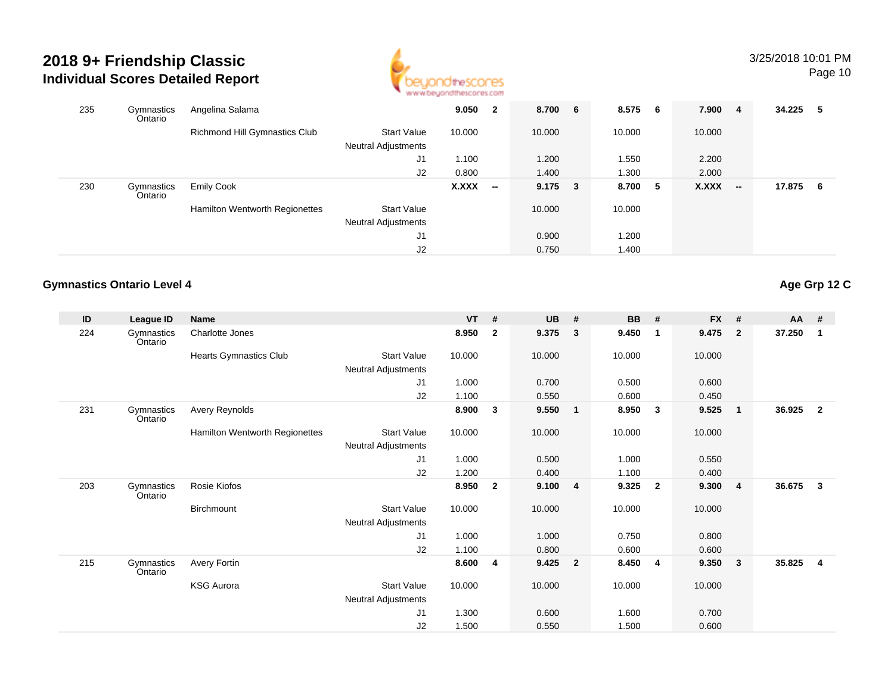

| 235 | Gymnastics<br>Ontario | Angelina Salama                |                                                  | 9.050  | $\mathbf{2}$             | 8.700 6     | 8.575 6 | 7.900  | $\overline{4}$           | 34.225 | - 5 |
|-----|-----------------------|--------------------------------|--------------------------------------------------|--------|--------------------------|-------------|---------|--------|--------------------------|--------|-----|
|     |                       | Richmond Hill Gymnastics Club  | <b>Start Value</b><br><b>Neutral Adjustments</b> | 10.000 |                          | 10.000      | 10.000  | 10.000 |                          |        |     |
|     |                       |                                | J1                                               | 1.100  |                          | 1.200       | 1.550   | 2.200  |                          |        |     |
|     |                       |                                | J <sub>2</sub>                                   | 0.800  |                          | 1.400       | 1.300   | 2.000  |                          |        |     |
| 230 | Gymnastics<br>Ontario | <b>Emily Cook</b>              |                                                  | X.XXX  | $\overline{\phantom{a}}$ | $9.175 \t3$ | 8.700 5 | X.XXX  | $\overline{\phantom{a}}$ | 17.875 | - 6 |
|     |                       | Hamilton Wentworth Regionettes | <b>Start Value</b>                               |        |                          | 10.000      | 10.000  |        |                          |        |     |
|     |                       |                                | <b>Neutral Adjustments</b>                       |        |                          |             |         |        |                          |        |     |
|     |                       |                                | J1                                               |        |                          | 0.900       | 1.200   |        |                          |        |     |
|     |                       |                                | J <sub>2</sub>                                   |        |                          | 0.750       | 1.400   |        |                          |        |     |

### **Gymnastics Ontario Level 4**

| ID  | League ID             | Name                           |                            | VT     | #              | <b>UB</b> | #                       | <b>BB</b> | #                       | <b>FX</b> | #              | <b>AA</b> | #              |
|-----|-----------------------|--------------------------------|----------------------------|--------|----------------|-----------|-------------------------|-----------|-------------------------|-----------|----------------|-----------|----------------|
| 224 | Gymnastics<br>Ontario | Charlotte Jones                |                            | 8.950  | $\overline{2}$ | 9.375     | $\mathbf{3}$            | 9.450     | $\overline{\mathbf{1}}$ | 9.475     | $\overline{2}$ | 37.250    | 1              |
|     |                       | <b>Hearts Gymnastics Club</b>  | <b>Start Value</b>         | 10.000 |                | 10.000    |                         | 10.000    |                         | 10.000    |                |           |                |
|     |                       |                                | Neutral Adjustments        |        |                |           |                         |           |                         |           |                |           |                |
|     |                       |                                | J1                         | 1.000  |                | 0.700     |                         | 0.500     |                         | 0.600     |                |           |                |
|     |                       |                                | J2                         | 1.100  |                | 0.550     |                         | 0.600     |                         | 0.450     |                |           |                |
| 231 | Gymnastics<br>Ontario | Avery Reynolds                 |                            | 8.900  | 3              | 9.550     | $\overline{\mathbf{1}}$ | 8.950     | $\mathbf{3}$            | 9.525     | $\mathbf{1}$   | 36.925    | $\overline{2}$ |
|     |                       | Hamilton Wentworth Regionettes | Start Value                | 10.000 |                | 10.000    |                         | 10.000    |                         | 10.000    |                |           |                |
|     |                       |                                | Neutral Adjustments        |        |                |           |                         |           |                         |           |                |           |                |
|     |                       |                                | J1                         | 1.000  |                | 0.500     |                         | 1.000     |                         | 0.550     |                |           |                |
|     |                       |                                | J2                         | 1.200  |                | 0.400     |                         | 1.100     |                         | 0.400     |                |           |                |
| 203 | Gymnastics<br>Ontario | Rosie Kiofos                   |                            | 8.950  | $\overline{2}$ | 9.100     | $\overline{4}$          | 9.325     | $\overline{\mathbf{2}}$ | 9.300     | $\overline{4}$ | 36.675    | 3              |
|     |                       | Birchmount                     | Start Value                | 10.000 |                | 10.000    |                         | 10.000    |                         | 10.000    |                |           |                |
|     |                       |                                | <b>Neutral Adjustments</b> |        |                |           |                         |           |                         |           |                |           |                |
|     |                       |                                | J1                         | 1.000  |                | 1.000     |                         | 0.750     |                         | 0.800     |                |           |                |
|     |                       |                                | J2                         | 1.100  |                | 0.800     |                         | 0.600     |                         | 0.600     |                |           |                |
| 215 | Gymnastics<br>Ontario | Avery Fortin                   |                            | 8.600  | $\overline{4}$ | 9.425     | $\overline{\mathbf{2}}$ | 8.450     | $\overline{\mathbf{4}}$ | 9.350     | 3              | 35.825    | 4              |
|     |                       | <b>KSG Aurora</b>              | Start Value                | 10.000 |                | 10.000    |                         | 10.000    |                         | 10.000    |                |           |                |
|     |                       |                                | Neutral Adjustments        |        |                |           |                         |           |                         |           |                |           |                |
|     |                       |                                | J <sub>1</sub>             | 1.300  |                | 0.600     |                         | 1.600     |                         | 0.700     |                |           |                |
|     |                       |                                | J2                         | 1.500  |                | 0.550     |                         | 1.500     |                         | 0.600     |                |           |                |

**Age Grp 12 C**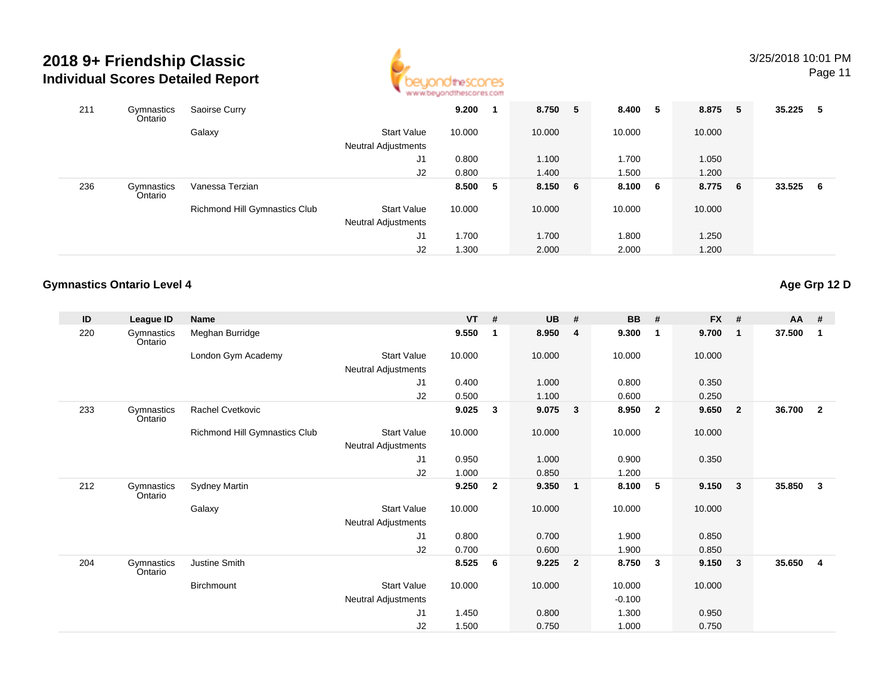

Page 11

| 211 | Gymnastics<br>Ontario | Saoirse Curry                        |                            | 9.200  |   | 8.750   | 5 | 8.400   | 5 | 8.875 5 | 35.225 5 |   |
|-----|-----------------------|--------------------------------------|----------------------------|--------|---|---------|---|---------|---|---------|----------|---|
|     |                       | Galaxy                               | <b>Start Value</b>         | 10.000 |   | 10.000  |   | 10.000  |   | 10.000  |          |   |
|     |                       |                                      | <b>Neutral Adjustments</b> |        |   |         |   |         |   |         |          |   |
|     |                       |                                      | J1                         | 0.800  |   | 1.100   |   | 1.700   |   | 1.050   |          |   |
|     |                       |                                      | J2                         | 0.800  |   | 1.400   |   | 1.500   |   | 1.200   |          |   |
| 236 | Gymnastics<br>Ontario | Vanessa Terzian                      |                            | 8.500  | 5 | 8.150 6 |   | 8.100 6 |   | 8.775 6 | 33.525   | 6 |
|     |                       | <b>Richmond Hill Gymnastics Club</b> | <b>Start Value</b>         | 10.000 |   | 10.000  |   | 10.000  |   | 10.000  |          |   |
|     |                       |                                      | <b>Neutral Adjustments</b> |        |   |         |   |         |   |         |          |   |
|     |                       |                                      | J1                         | 1.700  |   | 1.700   |   | 1.800   |   | 1.250   |          |   |
|     |                       |                                      | J2                         | 1.300  |   | 2.000   |   | 2.000   |   | 1.200   |          |   |

### **Gymnastics Ontario Level 4**

**Age Grp 12 D**

| ID  | League ID             | Name                          |                                           | $VT$ # |                | <b>UB</b> | #                       | <b>BB</b> | #                       | <b>FX</b> | #              | $AA$ # |                |
|-----|-----------------------|-------------------------------|-------------------------------------------|--------|----------------|-----------|-------------------------|-----------|-------------------------|-----------|----------------|--------|----------------|
| 220 | Gymnastics<br>Ontario | Meghan Burridge               |                                           | 9.550  | $\mathbf{1}$   | 8.950     | 4                       | 9.300     | $\overline{\mathbf{1}}$ | 9.700     | $\mathbf{1}$   | 37.500 | 1              |
|     |                       | London Gym Academy            | <b>Start Value</b><br>Neutral Adjustments | 10.000 |                | 10.000    |                         | 10.000    |                         | 10.000    |                |        |                |
|     |                       |                               | J <sub>1</sub>                            | 0.400  |                | 1.000     |                         | 0.800     |                         | 0.350     |                |        |                |
|     |                       |                               | J2                                        | 0.500  |                | 1.100     |                         | 0.600     |                         | 0.250     |                |        |                |
| 233 | Gymnastics<br>Ontario | Rachel Cvetkovic              |                                           | 9.025  | 3              | 9.075     | $\mathbf{3}$            | 8.950     | $\overline{\mathbf{2}}$ | 9.650     | $\overline{2}$ | 36.700 | $\overline{2}$ |
|     |                       | Richmond Hill Gymnastics Club | <b>Start Value</b>                        | 10.000 |                | 10.000    |                         | 10.000    |                         | 10.000    |                |        |                |
|     |                       |                               | Neutral Adjustments                       |        |                |           |                         |           |                         |           |                |        |                |
|     |                       |                               | J1                                        | 0.950  |                | 1.000     |                         | 0.900     |                         | 0.350     |                |        |                |
|     |                       |                               | J2                                        | 1.000  |                | 0.850     |                         | 1.200     |                         |           |                |        |                |
| 212 | Gymnastics<br>Ontario | <b>Sydney Martin</b>          |                                           | 9.250  | $\overline{2}$ | 9.350     | $\mathbf{1}$            | 8.100     | -5                      | 9.150     | $\mathbf{3}$   | 35.850 | $\mathbf{3}$   |
|     |                       | Galaxy                        | <b>Start Value</b>                        | 10.000 |                | 10.000    |                         | 10.000    |                         | 10.000    |                |        |                |
|     |                       |                               | Neutral Adjustments                       |        |                |           |                         |           |                         |           |                |        |                |
|     |                       |                               | J1                                        | 0.800  |                | 0.700     |                         | 1.900     |                         | 0.850     |                |        |                |
|     |                       |                               | J2                                        | 0.700  |                | 0.600     |                         | 1.900     |                         | 0.850     |                |        |                |
| 204 | Gymnastics<br>Ontario | Justine Smith                 |                                           | 8.525  | -6             | 9.225     | $\overline{\mathbf{2}}$ | 8.750     | $\mathbf{3}$            | 9.150     | $\mathbf{3}$   | 35.650 | $\overline{4}$ |
|     |                       | Birchmount                    | <b>Start Value</b>                        | 10.000 |                | 10.000    |                         | 10.000    |                         | 10.000    |                |        |                |
|     |                       |                               | Neutral Adjustments                       |        |                |           |                         | $-0.100$  |                         |           |                |        |                |
|     |                       |                               | J1                                        | 1.450  |                | 0.800     |                         | 1.300     |                         | 0.950     |                |        |                |
|     |                       |                               | J2                                        | 1.500  |                | 0.750     |                         | 1.000     |                         | 0.750     |                |        |                |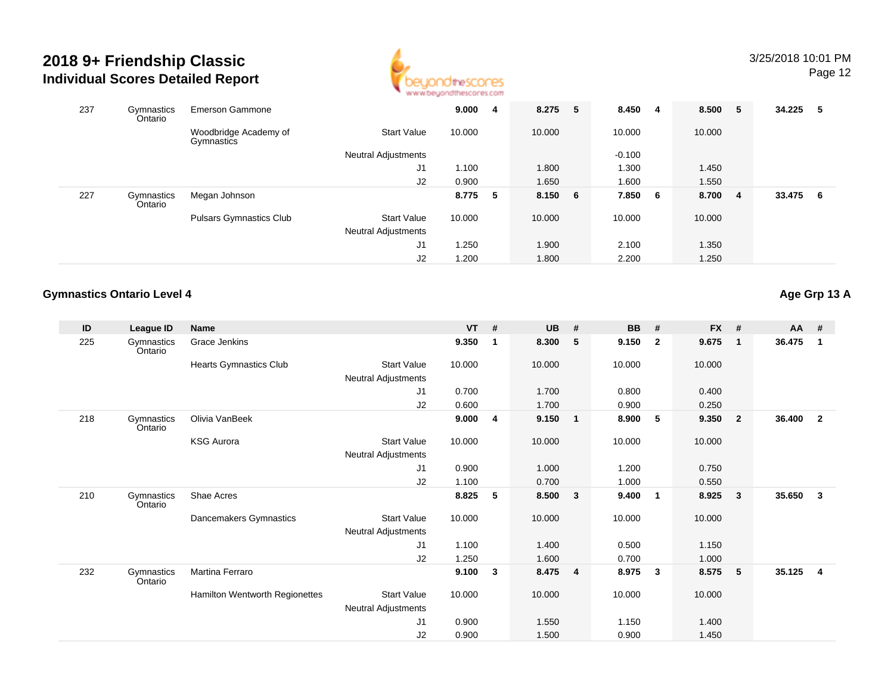

| 237 | Gymnastics<br>Ontario | <b>Emerson Gammone</b>              |                            | 9.000  | $\overline{\mathbf{4}}$ | 8.275   | 5 | 8.450    | 4   | 8.500 5 |                | 34.225 | - 5 |
|-----|-----------------------|-------------------------------------|----------------------------|--------|-------------------------|---------|---|----------|-----|---------|----------------|--------|-----|
|     |                       | Woodbridge Academy of<br>Gymnastics | <b>Start Value</b>         | 10.000 |                         | 10.000  |   | 10.000   |     | 10.000  |                |        |     |
|     |                       |                                     | Neutral Adjustments        |        |                         |         |   | $-0.100$ |     |         |                |        |     |
|     |                       |                                     | J <sub>1</sub>             | 1.100  |                         | 1.800   |   | 1.300    |     | 1.450   |                |        |     |
|     |                       |                                     | J2                         | 0.900  |                         | 1.650   |   | 1.600    |     | 1.550   |                |        |     |
| 227 | Gymnastics<br>Ontario | Megan Johnson                       |                            | 8.775  | 5                       | 8.150 6 |   | 7.850    | - 6 | 8.700   | $\overline{4}$ | 33.475 | - 6 |
|     |                       | <b>Pulsars Gymnastics Club</b>      | <b>Start Value</b>         | 10.000 |                         | 10.000  |   | 10.000   |     | 10.000  |                |        |     |
|     |                       |                                     | <b>Neutral Adjustments</b> |        |                         |         |   |          |     |         |                |        |     |
|     |                       |                                     | J <sub>1</sub>             | 1.250  |                         | 1.900   |   | 2.100    |     | 1.350   |                |        |     |
|     |                       |                                     | J2                         | 1.200  |                         | 1.800   |   | 2.200    |     | 1.250   |                |        |     |

### **Gymnastics Ontario Level 4**

**Age Grp 13 A**

| ID  | League ID             | <b>Name</b>                           |                            | <b>VT</b> | #           | UB     | #                       | BB     | #                       | <b>FX</b> | #              | $AA$ # |                |
|-----|-----------------------|---------------------------------------|----------------------------|-----------|-------------|--------|-------------------------|--------|-------------------------|-----------|----------------|--------|----------------|
| 225 | Gymnastics<br>Ontario | Grace Jenkins                         |                            | 9.350     | $\mathbf 1$ | 8.300  | - 5                     | 9.150  | $\overline{2}$          | 9.675     | $\mathbf{1}$   | 36.475 | $\mathbf{1}$   |
|     |                       | Hearts Gymnastics Club                | Start Value                | 10.000    |             | 10.000 |                         | 10.000 |                         | 10.000    |                |        |                |
|     |                       |                                       | Neutral Adjustments        |           |             |        |                         |        |                         |           |                |        |                |
|     |                       |                                       | J1                         | 0.700     |             | 1.700  |                         | 0.800  |                         | 0.400     |                |        |                |
|     |                       |                                       | J <sub>2</sub>             | 0.600     |             | 1.700  |                         | 0.900  |                         | 0.250     |                |        |                |
| 218 | Gymnastics<br>Ontario | Olivia VanBeek                        |                            | 9.000     | 4           | 9.150  | $\overline{\mathbf{1}}$ | 8.900  | -5                      | 9.350     | $\overline{2}$ | 36.400 | $\overline{2}$ |
|     |                       | <b>KSG Aurora</b>                     | Start Value                | 10.000    |             | 10.000 |                         | 10.000 |                         | 10.000    |                |        |                |
|     |                       |                                       | Neutral Adjustments        |           |             |        |                         |        |                         |           |                |        |                |
|     |                       |                                       | J1                         | 0.900     |             | 1.000  |                         | 1.200  |                         | 0.750     |                |        |                |
|     |                       |                                       | J2                         | 1.100     |             | 0.700  |                         | 1.000  |                         | 0.550     |                |        |                |
| 210 | Gymnastics<br>Ontario | Shae Acres                            |                            | 8.825     | 5           | 8.500  | $\overline{\mathbf{3}}$ | 9.400  | $\overline{\mathbf{1}}$ | 8.925     | 3              | 35.650 | $\mathbf{3}$   |
|     |                       | Dancemakers Gymnastics                | Start Value                | 10.000    |             | 10.000 |                         | 10.000 |                         | 10.000    |                |        |                |
|     |                       |                                       | Neutral Adjustments        |           |             |        |                         |        |                         |           |                |        |                |
|     |                       |                                       | J1                         | 1.100     |             | 1.400  |                         | 0.500  |                         | 1.150     |                |        |                |
|     |                       |                                       | J2                         | 1.250     |             | 1.600  |                         | 0.700  |                         | 1.000     |                |        |                |
| 232 | Gymnastics<br>Ontario | Martina Ferraro                       |                            | 9.100     | 3           | 8.475  | $\overline{4}$          | 8.975  | -3                      | 8.575     | 5              | 35.125 | $\overline{4}$ |
|     |                       | <b>Hamilton Wentworth Regionettes</b> | Start Value                | 10.000    |             | 10.000 |                         | 10.000 |                         | 10.000    |                |        |                |
|     |                       |                                       | <b>Neutral Adjustments</b> |           |             |        |                         |        |                         |           |                |        |                |
|     |                       |                                       | J <sub>1</sub>             | 0.900     |             | 1.550  |                         | 1.150  |                         | 1.400     |                |        |                |
|     |                       |                                       | J2                         | 0.900     |             | 1.500  |                         | 0.900  |                         | 1.450     |                |        |                |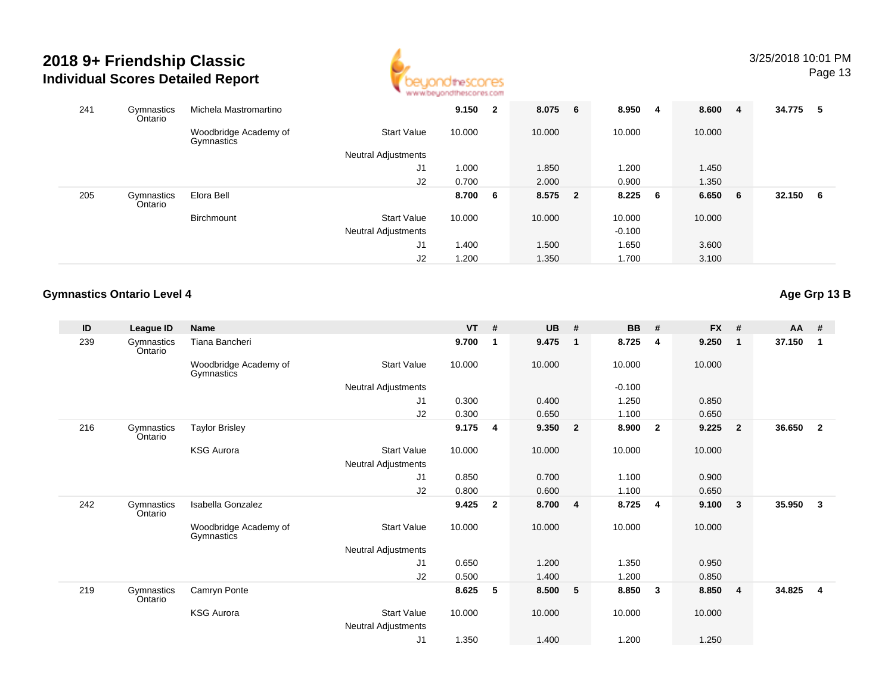

| 241 | Gymnastics<br>Ontario | Michela Mastromartino               |                            | 9.150  | $\overline{2}$ | 8.075 6 | 8.950    | 4 | 8.600  | $\overline{4}$  | 34.775 | - 5 |
|-----|-----------------------|-------------------------------------|----------------------------|--------|----------------|---------|----------|---|--------|-----------------|--------|-----|
|     |                       | Woodbridge Academy of<br>Gymnastics | <b>Start Value</b>         | 10.000 |                | 10.000  | 10.000   |   | 10.000 |                 |        |     |
|     |                       |                                     | <b>Neutral Adjustments</b> |        |                |         |          |   |        |                 |        |     |
|     |                       |                                     | J1                         | 1.000  |                | 1.850   | 1.200    |   | 1.450  |                 |        |     |
|     |                       |                                     | J2                         | 0.700  |                | 2.000   | 0.900    |   | 1.350  |                 |        |     |
| 205 | Gymnastics<br>Ontario | Elora Bell                          |                            | 8.700  | 6              | 8.575 2 | 8.225    | 6 | 6.650  | $6\overline{6}$ | 32.150 | 6   |
|     |                       | Birchmount                          | <b>Start Value</b>         | 10.000 |                | 10.000  | 10.000   |   | 10.000 |                 |        |     |
|     |                       |                                     | Neutral Adjustments        |        |                |         | $-0.100$ |   |        |                 |        |     |
|     |                       |                                     | J <sub>1</sub>             | 1.400  |                | 1.500   | 1.650    |   | 3.600  |                 |        |     |
|     |                       |                                     | J2                         | 1.200  |                | 1.350   | 1.700    |   | 3.100  |                 |        |     |

### **Gymnastics Ontario Level 4**

**Age Grp 13 B**

| ID  | League ID             | <b>Name</b>                         |                     | $VT$ # |                | <b>UB</b> | #              | <b>BB</b> | #                       | <b>FX</b> | #              | AA #   |              |
|-----|-----------------------|-------------------------------------|---------------------|--------|----------------|-----------|----------------|-----------|-------------------------|-----------|----------------|--------|--------------|
| 239 | Gymnastics<br>Ontario | Tiana Bancheri                      |                     | 9.700  | $\mathbf{1}$   | 9.475     | $\mathbf{1}$   | 8.725     | 4                       | 9.250     | $\overline{1}$ | 37.150 | 1            |
|     |                       | Woodbridge Academy of<br>Gymnastics | <b>Start Value</b>  | 10.000 |                | 10.000    |                | 10.000    |                         | 10.000    |                |        |              |
|     |                       |                                     | Neutral Adjustments |        |                |           |                | $-0.100$  |                         |           |                |        |              |
|     |                       |                                     | J <sub>1</sub>      | 0.300  |                | 0.400     |                | 1.250     |                         | 0.850     |                |        |              |
|     |                       |                                     | J2                  | 0.300  |                | 0.650     |                | 1.100     |                         | 0.650     |                |        |              |
| 216 | Gymnastics<br>Ontario | <b>Taylor Brisley</b>               |                     | 9.175  | $\overline{4}$ | 9.350     | $\overline{2}$ | 8.900     | $\overline{\mathbf{2}}$ | 9.225     | $\overline{2}$ | 36.650 | $\mathbf{2}$ |
|     |                       | <b>KSG Aurora</b>                   | <b>Start Value</b>  | 10.000 |                | 10.000    |                | 10.000    |                         | 10.000    |                |        |              |
|     |                       |                                     | Neutral Adjustments |        |                |           |                |           |                         |           |                |        |              |
|     |                       |                                     | J1                  | 0.850  |                | 0.700     |                | 1.100     |                         | 0.900     |                |        |              |
|     |                       |                                     | J2                  | 0.800  |                | 0.600     |                | 1.100     |                         | 0.650     |                |        |              |
| 242 | Gymnastics<br>Ontario | Isabella Gonzalez                   |                     | 9.425  | $\overline{2}$ | 8.700     | $\overline{4}$ | 8.725     | 4                       | 9.100     | $\mathbf{3}$   | 35.950 | 3            |
|     |                       | Woodbridge Academy of<br>Gymnastics | <b>Start Value</b>  | 10.000 |                | 10.000    |                | 10.000    |                         | 10.000    |                |        |              |
|     |                       |                                     | Neutral Adjustments |        |                |           |                |           |                         |           |                |        |              |
|     |                       |                                     | J1                  | 0.650  |                | 1.200     |                | 1.350     |                         | 0.950     |                |        |              |
|     |                       |                                     | J2                  | 0.500  |                | 1.400     |                | 1.200     |                         | 0.850     |                |        |              |
| 219 | Gymnastics<br>Ontario | Camryn Ponte                        |                     | 8.625  | 5              | 8.500     | 5 <sub>5</sub> | 8.850     | $\mathbf{3}$            | 8.850     | $\overline{4}$ | 34.825 | 4            |
|     |                       | <b>KSG Aurora</b>                   | <b>Start Value</b>  | 10.000 |                | 10.000    |                | 10.000    |                         | 10.000    |                |        |              |
|     |                       |                                     | Neutral Adjustments |        |                |           |                |           |                         |           |                |        |              |
|     |                       |                                     | J <sub>1</sub>      | 1.350  |                | 1.400     |                | 1.200     |                         | 1.250     |                |        |              |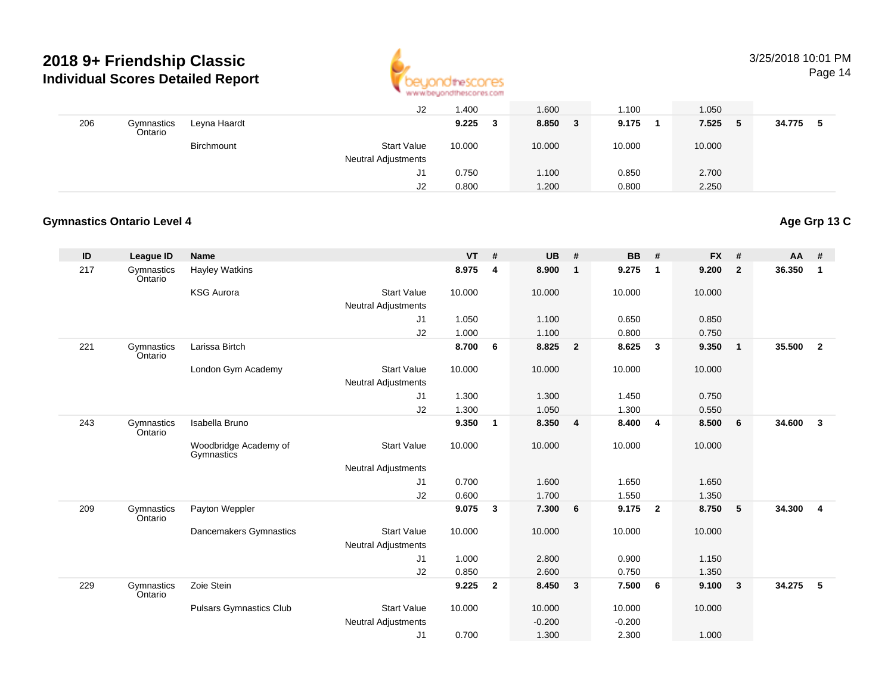

# 3/25/2018 10:01 PM

Page 14

|     |                       |              | J2                         | 1.400  | 1.600      | 1.100  | 1.050       |        |
|-----|-----------------------|--------------|----------------------------|--------|------------|--------|-------------|--------|
| 206 | Gymnastics<br>Ontario | Leyna Haardt |                            | 9.225  | 8.850<br>3 | 9.175  | 7.525<br>-5 | 34.775 |
|     |                       | Birchmount   | <b>Start Value</b>         | 10.000 | 10.000     | 10.000 | 10.000      |        |
|     |                       |              | <b>Neutral Adjustments</b> |        |            |        |             |        |
|     |                       |              | J1                         | 0.750  | 1.100      | 0.850  | 2.700       |        |
|     |                       |              | J2                         | 0.800  | 1.200      | 0.800  | 2.250       |        |

### **Gymnastics Ontario Level 4**

# **Age Grp 13 C**

| ID  | League ID             | <b>Name</b>                         |                            | <b>VT</b> | #              | <b>UB</b> | #                       | <b>BB</b> | #              | <b>FX</b> | #            | $AA$ # |                |
|-----|-----------------------|-------------------------------------|----------------------------|-----------|----------------|-----------|-------------------------|-----------|----------------|-----------|--------------|--------|----------------|
| 217 | Gymnastics<br>Ontario | <b>Hayley Watkins</b>               |                            | 8.975     | 4              | 8.900     | $\overline{\mathbf{1}}$ | 9.275     | $\overline{1}$ | 9.200     | $\mathbf{2}$ | 36.350 | $\mathbf 1$    |
|     |                       | <b>KSG Aurora</b>                   | <b>Start Value</b>         | 10.000    |                | 10.000    |                         | 10.000    |                | 10.000    |              |        |                |
|     |                       |                                     | <b>Neutral Adjustments</b> |           |                |           |                         |           |                |           |              |        |                |
|     |                       |                                     | J1                         | 1.050     |                | 1.100     |                         | 0.650     |                | 0.850     |              |        |                |
|     |                       |                                     | J2                         | 1.000     |                | 1.100     |                         | 0.800     |                | 0.750     |              |        |                |
| 221 | Gymnastics<br>Ontario | Larissa Birtch                      |                            | 8.700     | 6              | 8.825     | $\overline{\mathbf{2}}$ | 8.625     | 3              | 9.350     | $\mathbf{1}$ | 35.500 | $\overline{2}$ |
|     |                       | London Gym Academy                  | <b>Start Value</b>         | 10.000    |                | 10.000    |                         | 10.000    |                | 10.000    |              |        |                |
|     |                       |                                     | <b>Neutral Adjustments</b> |           |                |           |                         |           |                |           |              |        |                |
|     |                       |                                     | J1                         | 1.300     |                | 1.300     |                         | 1.450     |                | 0.750     |              |        |                |
|     |                       |                                     | J2                         | 1.300     |                | 1.050     |                         | 1.300     |                | 0.550     |              |        |                |
| 243 | Gymnastics<br>Ontario | Isabella Bruno                      |                            | 9.350     | $\mathbf{1}$   | 8.350     | $\overline{4}$          | 8.400     | $\overline{4}$ | 8.500     | 6            | 34.600 | 3              |
|     |                       | Woodbridge Academy of<br>Gymnastics | <b>Start Value</b>         | 10.000    |                | 10.000    |                         | 10.000    |                | 10.000    |              |        |                |
|     |                       |                                     | <b>Neutral Adjustments</b> |           |                |           |                         |           |                |           |              |        |                |
|     |                       |                                     | J1                         | 0.700     |                | 1.600     |                         | 1.650     |                | 1.650     |              |        |                |
|     |                       |                                     | J2                         | 0.600     |                | 1.700     |                         | 1.550     |                | 1.350     |              |        |                |
| 209 | Gymnastics<br>Ontario | Payton Weppler                      |                            | 9.075     | 3              | 7.300     | 6                       | 9.175     | $\overline{2}$ | 8.750     | 5            | 34.300 | 4              |
|     |                       | Dancemakers Gymnastics              | <b>Start Value</b>         | 10.000    |                | 10.000    |                         | 10.000    |                | 10.000    |              |        |                |
|     |                       |                                     | <b>Neutral Adjustments</b> |           |                |           |                         |           |                |           |              |        |                |
|     |                       |                                     | J1                         | 1.000     |                | 2.800     |                         | 0.900     |                | 1.150     |              |        |                |
|     |                       |                                     | J2                         | 0.850     |                | 2.600     |                         | 0.750     |                | 1.350     |              |        |                |
| 229 | Gymnastics<br>Ontario | Zoie Stein                          |                            | 9.225     | $\overline{2}$ | 8.450     | $\overline{\mathbf{3}}$ | 7.500     | 6              | 9.100     | 3            | 34.275 | 5              |
|     |                       | <b>Pulsars Gymnastics Club</b>      | <b>Start Value</b>         | 10.000    |                | 10.000    |                         | 10.000    |                | 10.000    |              |        |                |
|     |                       |                                     | <b>Neutral Adjustments</b> |           |                | $-0.200$  |                         | $-0.200$  |                |           |              |        |                |
|     |                       |                                     | J1                         | 0.700     |                | 1.300     |                         | 2.300     |                | 1.000     |              |        |                |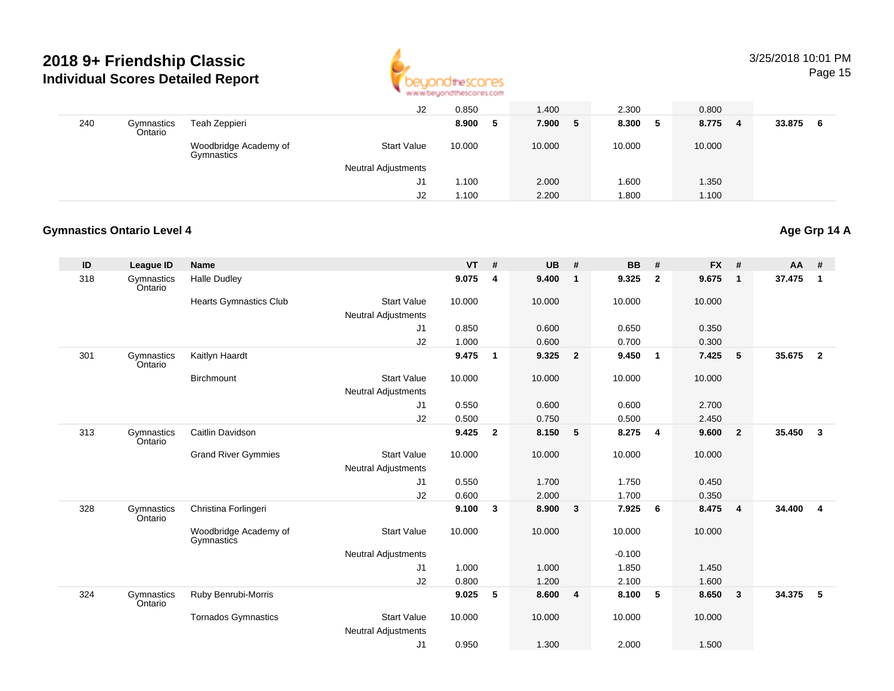

# 3/25/2018 10:01 PM

Page 15

|     |                       |                                     | J2                         | 0.850  | 1.400      | 2.300      | 0.800                   |              |
|-----|-----------------------|-------------------------------------|----------------------------|--------|------------|------------|-------------------------|--------------|
| 240 | Gymnastics<br>Ontario | Teah Zeppieri                       |                            | 8.900  | 7.900<br>5 | 8.300<br>5 | 8.775<br>$\blacksquare$ | 33.875<br>-6 |
|     |                       | Woodbridge Academy of<br>Gymnastics | <b>Start Value</b>         | 10.000 | 10.000     | 10.000     | 10.000                  |              |
|     |                       |                                     | <b>Neutral Adjustments</b> |        |            |            |                         |              |
|     |                       |                                     | J1                         | 1.100  | 2.000      | .600       | 1.350                   |              |
|     |                       |                                     | J2                         | 1.100  | 2.200      | 1.800      | 1.100                   |              |

#### **Gymnastics Ontario Level 4**

#### **ID League ID Name VT # UB # BB # FX # AA #** 318 Gymnastics OntarioHalle Dudley **9.075 <sup>4</sup> 9.400 <sup>1</sup> 9.325 <sup>2</sup> 9.675 <sup>1</sup> 37.475 <sup>1</sup>** Hearts Gymnastics Club Start Value 10.000 10.000 10.000 10.000 Neutral Adjustments J1 0.850 0.600 0.650 0.350 J2 1.000 0.600 0.700 0.300 301 Gymnastics OntarioKaitlyn Haardt **9.475 <sup>1</sup> 9.325 <sup>2</sup> 9.450 <sup>1</sup> 7.425 <sup>5</sup> 35.675 <sup>2</sup> Birchmount**  Start Valuee 10.000 10.000 10.000 10.000 Neutral Adjustments J1 0.550 0.600 0.600 2.700 J2 0.500 0.750 0.500 2.450 313**Gymnastics** OntarioCaitlin Davidson **9.425 <sup>2</sup> 8.150 <sup>5</sup> 8.275 <sup>4</sup> 9.600 <sup>2</sup> 35.450 <sup>3</sup>** Grand River Gymmies Start Valuee 10.000 10.000 10.000 10.000 Neutral Adjustments J1 0.550 1.700 1.750 0.450 J2 0.600 2.000 1.700 0.350 328**Gymnastics** OntarioChristina Forlingeri **9.100 <sup>3</sup> 8.900 <sup>3</sup> 7.925 <sup>6</sup> 8.475 <sup>4</sup> 34.400 <sup>4</sup>** Woodbridge Academy of**Gymnastics** Start Valuee 10.000 10.000 10.000 10.000 Neutral Adjustments $-0.100$ 1.850 J1 1.000 1.000 1.850 1.450 J2 0.800 1.200 2.100 1.600 324**Gymnastics** OntarioRuby Benrubi-Morris **9.025 <sup>5</sup> 8.600 <sup>4</sup> 8.100 <sup>5</sup> 8.650 <sup>3</sup> 34.375 <sup>5</sup>** Tornados Gymnastics Start Valuee 10.000 10.000 10.000 10.000 Neutral Adjustments J10.950 1.300 2.000 1.500

# **Age Grp 14 A**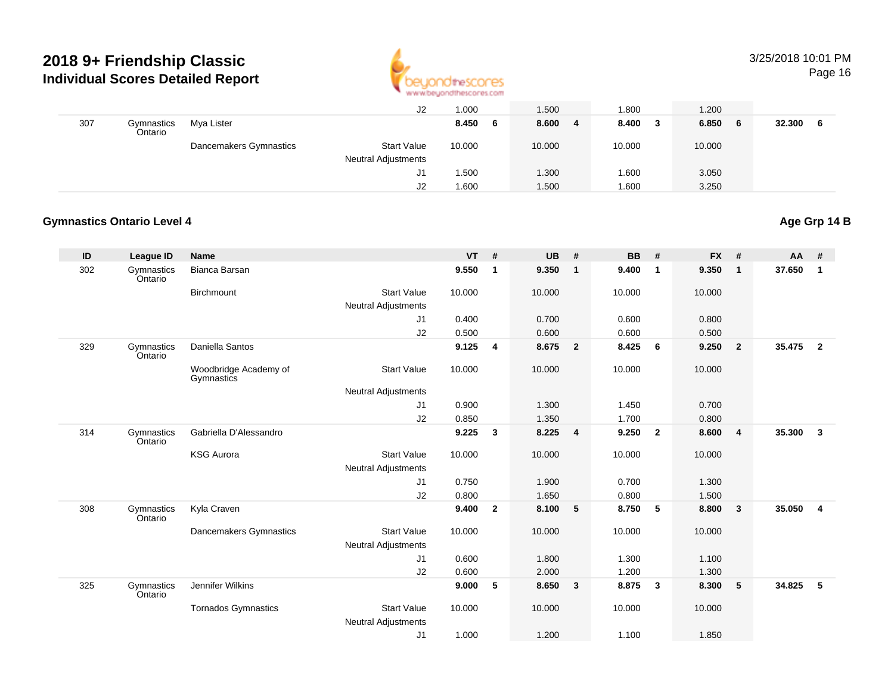

# 3/25/2018 10:01 PM

Page 16

|     |                       |                        | J2                  | 1.000      | 1.500      | .800   | 1.200        |        |
|-----|-----------------------|------------------------|---------------------|------------|------------|--------|--------------|--------|
| 307 | Gymnastics<br>Ontario | Mya Lister             |                     | 8.450<br>6 | 8.600<br>4 | 8.400  | 6.850<br>- 6 | 32.300 |
|     |                       | Dancemakers Gymnastics | <b>Start Value</b>  | 10.000     | 10.000     | 10.000 | 10.000       |        |
|     |                       |                        | Neutral Adjustments |            |            |        |              |        |
|     |                       |                        | J1                  | 1.500      | 1.300      | .600   | 3.050        |        |
|     |                       |                        | J <sub>2</sub>      | 1.600      | 1.500      | 1.600  | 3.250        |        |

### **Gymnastics Ontario Level 4**

## **Age Grp 14 B**

| ID  | <b>League ID</b>      | <b>Name</b>                         |                            | <b>VT</b> | #            | <b>UB</b> | #                       | BB     | #                       | <b>FX</b> | #              | AA     | #              |
|-----|-----------------------|-------------------------------------|----------------------------|-----------|--------------|-----------|-------------------------|--------|-------------------------|-----------|----------------|--------|----------------|
| 302 | Gymnastics<br>Ontario | Bianca Barsan                       |                            | 9.550     | $\mathbf{1}$ | 9.350     | $\overline{1}$          | 9.400  | $\overline{1}$          | 9.350     | $\mathbf{1}$   | 37.650 | $\mathbf{1}$   |
|     |                       | Birchmount                          | <b>Start Value</b>         | 10.000    |              | 10.000    |                         | 10.000 |                         | 10.000    |                |        |                |
|     |                       |                                     | <b>Neutral Adjustments</b> |           |              |           |                         |        |                         |           |                |        |                |
|     |                       |                                     | J1                         | 0.400     |              | 0.700     |                         | 0.600  |                         | 0.800     |                |        |                |
|     |                       |                                     | J2                         | 0.500     |              | 0.600     |                         | 0.600  |                         | 0.500     |                |        |                |
| 329 | Gymnastics<br>Ontario | Daniella Santos                     |                            | 9.125     | 4            | 8.675     | $\overline{\mathbf{2}}$ | 8.425  | - 6                     | 9.250     | $\overline{2}$ | 35.475 | $\overline{2}$ |
|     |                       | Woodbridge Academy of<br>Gymnastics | <b>Start Value</b>         | 10.000    |              | 10.000    |                         | 10.000 |                         | 10.000    |                |        |                |
|     |                       |                                     | <b>Neutral Adjustments</b> |           |              |           |                         |        |                         |           |                |        |                |
|     |                       |                                     | J1                         | 0.900     |              | 1.300     |                         | 1.450  |                         | 0.700     |                |        |                |
|     |                       |                                     | J2                         | 0.850     |              | 1.350     |                         | 1.700  |                         | 0.800     |                |        |                |
| 314 | Gymnastics<br>Ontario | Gabriella D'Alessandro              |                            | 9.225     | $\mathbf{3}$ | 8.225     | $\overline{4}$          | 9.250  | $\overline{\mathbf{2}}$ | 8.600     | $\overline{4}$ | 35.300 | $\mathbf{3}$   |
|     |                       | <b>KSG Aurora</b>                   | <b>Start Value</b>         | 10.000    |              | 10.000    |                         | 10.000 |                         | 10.000    |                |        |                |
|     |                       |                                     | <b>Neutral Adjustments</b> |           |              |           |                         |        |                         |           |                |        |                |
|     |                       |                                     | J1                         | 0.750     |              | 1.900     |                         | 0.700  |                         | 1.300     |                |        |                |
|     |                       |                                     | J2                         | 0.800     |              | 1.650     |                         | 0.800  |                         | 1.500     |                |        |                |
| 308 | Gymnastics<br>Ontario | Kyla Craven                         |                            | 9.400     | $\mathbf{2}$ | 8.100     | $-5$                    | 8.750  | -5                      | 8.800     | 3              | 35.050 | $\overline{4}$ |
|     |                       | Dancemakers Gymnastics              | <b>Start Value</b>         | 10.000    |              | 10.000    |                         | 10.000 |                         | 10.000    |                |        |                |
|     |                       |                                     | <b>Neutral Adjustments</b> |           |              |           |                         |        |                         |           |                |        |                |
|     |                       |                                     | J1                         | 0.600     |              | 1.800     |                         | 1.300  |                         | 1.100     |                |        |                |
|     |                       |                                     | J <sub>2</sub>             | 0.600     |              | 2.000     |                         | 1.200  |                         | 1.300     |                |        |                |
| 325 | Gymnastics<br>Ontario | Jennifer Wilkins                    |                            | 9.000     | 5            | 8.650     | $\overline{\mathbf{3}}$ | 8.875  | $\overline{\mathbf{3}}$ | 8.300     | 5              | 34.825 | 5              |
|     |                       | <b>Tornados Gymnastics</b>          | <b>Start Value</b>         | 10.000    |              | 10.000    |                         | 10.000 |                         | 10.000    |                |        |                |
|     |                       |                                     | <b>Neutral Adjustments</b> |           |              |           |                         |        |                         |           |                |        |                |
|     |                       |                                     | J <sub>1</sub>             | 1.000     |              | 1.200     |                         | 1.100  |                         | 1.850     |                |        |                |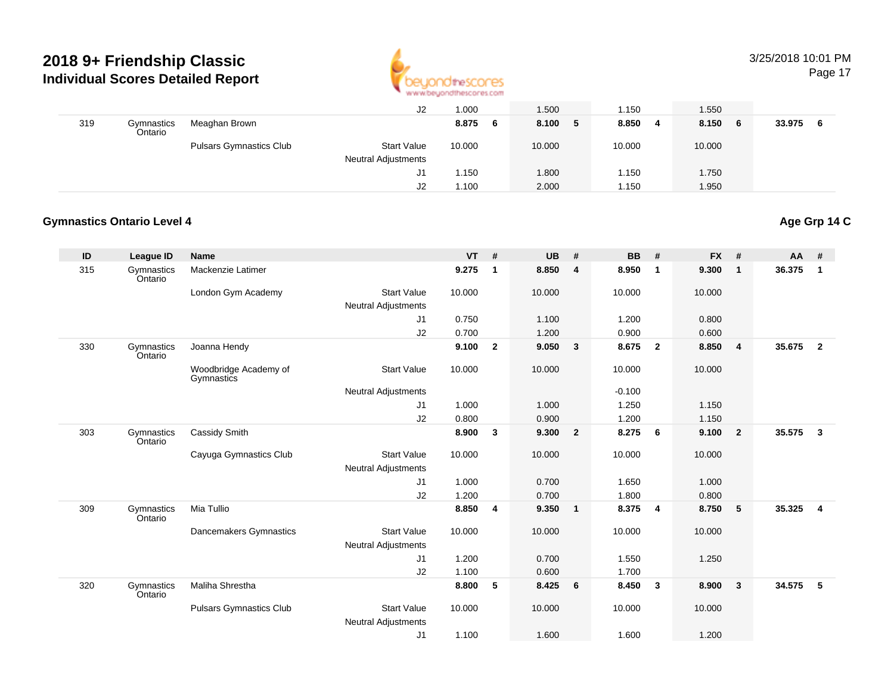

# 3/25/2018 10:01 PM

Page 17

|     |                       |                                | J2                                               | 1.000       | 1.500      | 1.150       | 1.550        |        |
|-----|-----------------------|--------------------------------|--------------------------------------------------|-------------|------------|-------------|--------------|--------|
| 319 | Gymnastics<br>Ontario | Meaghan Brown                  |                                                  | 8.875<br>-6 | 8.100<br>5 | 8.850<br>-4 | 8.150<br>- 6 | 33.975 |
|     |                       | <b>Pulsars Gymnastics Club</b> | <b>Start Value</b><br><b>Neutral Adjustments</b> | 10.000      | 10.000     | 10.000      | 10.000       |        |
|     |                       |                                | J1                                               | 1.150       | 1.800      | 1.150       | 1.750        |        |
|     |                       |                                | J2                                               | 1.100       | 2.000      | 1.150       | 1.950        |        |

### **Gymnastics Ontario Level 4**

### **Age Grp 14 C**

| ID  | <b>League ID</b>      | <b>Name</b>                         |                            | <b>VT</b> | #            | <b>UB</b> | #                       | <b>BB</b> | #                       | <b>FX</b> | #              | AA     | #            |
|-----|-----------------------|-------------------------------------|----------------------------|-----------|--------------|-----------|-------------------------|-----------|-------------------------|-----------|----------------|--------|--------------|
| 315 | Gymnastics<br>Ontario | Mackenzie Latimer                   |                            | 9.275     | $\mathbf{1}$ | 8.850     | $\overline{\mathbf{4}}$ | 8.950     | $\mathbf{1}$            | 9.300     | $\mathbf{1}$   | 36.375 | $\mathbf{1}$ |
|     |                       | London Gym Academy                  | <b>Start Value</b>         | 10.000    |              | 10.000    |                         | 10.000    |                         | 10.000    |                |        |              |
|     |                       |                                     | <b>Neutral Adjustments</b> |           |              |           |                         |           |                         |           |                |        |              |
|     |                       |                                     | J1                         | 0.750     |              | 1.100     |                         | 1.200     |                         | 0.800     |                |        |              |
|     |                       |                                     | J2                         | 0.700     |              | 1.200     |                         | 0.900     |                         | 0.600     |                |        |              |
| 330 | Gymnastics<br>Ontario | Joanna Hendy                        |                            | 9.100     | $\mathbf{2}$ | 9.050     | $\overline{\mathbf{3}}$ | 8.675     | $\overline{\mathbf{2}}$ | 8.850     | 4              | 35.675 | $\mathbf{2}$ |
|     |                       | Woodbridge Academy of<br>Gymnastics | <b>Start Value</b>         | 10.000    |              | 10.000    |                         | 10.000    |                         | 10.000    |                |        |              |
|     |                       |                                     | <b>Neutral Adjustments</b> |           |              |           |                         | $-0.100$  |                         |           |                |        |              |
|     |                       |                                     | J <sub>1</sub>             | 1.000     |              | 1.000     |                         | 1.250     |                         | 1.150     |                |        |              |
|     |                       |                                     | J2                         | 0.800     |              | 0.900     |                         | 1.200     |                         | 1.150     |                |        |              |
| 303 | Gymnastics<br>Ontario | Cassidy Smith                       |                            | 8.900     | 3            | 9.300     | $\overline{\mathbf{2}}$ | 8.275     | 6                       | 9.100     | $\overline{2}$ | 35.575 | 3            |
|     |                       | Cayuga Gymnastics Club              | <b>Start Value</b>         | 10.000    |              | 10.000    |                         | 10.000    |                         | 10.000    |                |        |              |
|     |                       |                                     | <b>Neutral Adjustments</b> |           |              |           |                         |           |                         |           |                |        |              |
|     |                       |                                     | J1                         | 1.000     |              | 0.700     |                         | 1.650     |                         | 1.000     |                |        |              |
|     |                       |                                     | J2                         | 1.200     |              | 0.700     |                         | 1.800     |                         | 0.800     |                |        |              |
| 309 | Gymnastics<br>Ontario | Mia Tullio                          |                            | 8.850     | 4            | 9.350     | $\blacksquare$          | 8.375     | $\overline{\mathbf{4}}$ | 8.750     | 5              | 35.325 | 4            |
|     |                       | Dancemakers Gymnastics              | <b>Start Value</b>         | 10.000    |              | 10.000    |                         | 10.000    |                         | 10.000    |                |        |              |
|     |                       |                                     | <b>Neutral Adjustments</b> |           |              |           |                         |           |                         |           |                |        |              |
|     |                       |                                     | J <sub>1</sub>             | 1.200     |              | 0.700     |                         | 1.550     |                         | 1.250     |                |        |              |
|     |                       |                                     | J2                         | 1.100     |              | 0.600     |                         | 1.700     |                         |           |                |        |              |
| 320 | Gymnastics<br>Ontario | Maliha Shrestha                     |                            | 8.800     | 5            | 8.425     | - 6                     | 8.450     | $\mathbf{3}$            | 8.900     | 3              | 34.575 | 5            |
|     |                       | <b>Pulsars Gymnastics Club</b>      | <b>Start Value</b>         | 10.000    |              | 10.000    |                         | 10.000    |                         | 10.000    |                |        |              |
|     |                       |                                     | <b>Neutral Adjustments</b> |           |              |           |                         |           |                         |           |                |        |              |
|     |                       |                                     | J <sub>1</sub>             | 1.100     |              | 1.600     |                         | 1.600     |                         | 1.200     |                |        |              |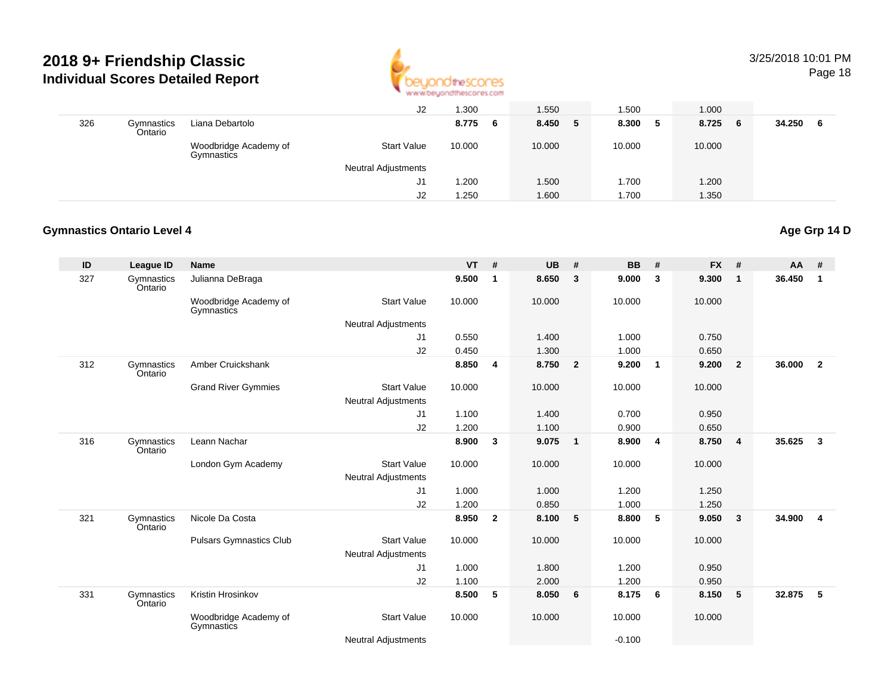

# 3/25/2018 10:01 PM

Page 18

|     |                       |                                     | J2                         | .300       | 1.550      | .500       | 1.000   |              |
|-----|-----------------------|-------------------------------------|----------------------------|------------|------------|------------|---------|--------------|
| 326 | Gymnastics<br>Ontario | Liana Debartolo                     |                            | 8.775<br>6 | 8.450<br>5 | 8.300<br>5 | 8.725 6 | 34.250<br>-6 |
|     |                       | Woodbridge Academy of<br>Gymnastics | <b>Start Value</b>         | 10.000     | 10.000     | 10.000     | 10.000  |              |
|     |                       |                                     | <b>Neutral Adjustments</b> |            |            |            |         |              |
|     |                       |                                     | J1                         | .200       | 1.500      | 1.700      | 1.200   |              |
|     |                       |                                     | J2                         | .250       | 1.600      | 1.700      | 1.350   |              |

#### **Gymnastics Ontario Level 4Age Grp 14 D**

| ID  | League ID             | <b>Name</b>                         |                            | <b>VT</b> | #              | <b>UB</b> | #                       | <b>BB</b> | #              | <b>FX</b> | #              | <b>AA</b> | #              |
|-----|-----------------------|-------------------------------------|----------------------------|-----------|----------------|-----------|-------------------------|-----------|----------------|-----------|----------------|-----------|----------------|
| 327 | Gymnastics<br>Ontario | Julianna DeBraga                    |                            | 9.500     | 1              | 8.650     | $\mathbf{3}$            | 9.000     | 3              | 9.300     | $\mathbf{1}$   | 36.450    | $\mathbf{1}$   |
|     |                       | Woodbridge Academy of<br>Gymnastics | <b>Start Value</b>         | 10.000    |                | 10.000    |                         | 10.000    |                | 10.000    |                |           |                |
|     |                       |                                     | <b>Neutral Adjustments</b> |           |                |           |                         |           |                |           |                |           |                |
|     |                       |                                     | J1                         | 0.550     |                | 1.400     |                         | 1.000     |                | 0.750     |                |           |                |
|     |                       |                                     | J2                         | 0.450     |                | 1.300     |                         | 1.000     |                | 0.650     |                |           |                |
| 312 | Gymnastics<br>Ontario | Amber Cruickshank                   |                            | 8.850     | 4              | 8.750     | $\overline{\mathbf{2}}$ | 9.200     | $\overline{1}$ | 9.200     | $\overline{2}$ | 36.000    | $\overline{2}$ |
|     |                       | <b>Grand River Gymmies</b>          | <b>Start Value</b>         | 10.000    |                | 10.000    |                         | 10.000    |                | 10.000    |                |           |                |
|     |                       |                                     | <b>Neutral Adjustments</b> |           |                |           |                         |           |                |           |                |           |                |
|     |                       |                                     | J <sub>1</sub>             | 1.100     |                | 1.400     |                         | 0.700     |                | 0.950     |                |           |                |
|     |                       |                                     | J2                         | 1.200     |                | 1.100     |                         | 0.900     |                | 0.650     |                |           |                |
| 316 | Gymnastics<br>Ontario | Leann Nachar                        |                            | 8.900     | 3              | 9.075     | $\overline{1}$          | 8.900     | $\overline{4}$ | 8.750     | $\overline{4}$ | 35.625    | $\mathbf{3}$   |
|     |                       | London Gym Academy                  | <b>Start Value</b>         | 10.000    |                | 10.000    |                         | 10.000    |                | 10.000    |                |           |                |
|     |                       |                                     | <b>Neutral Adjustments</b> |           |                |           |                         |           |                |           |                |           |                |
|     |                       |                                     | J1                         | 1.000     |                | 1.000     |                         | 1.200     |                | 1.250     |                |           |                |
|     |                       |                                     | J2                         | 1.200     |                | 0.850     |                         | 1.000     |                | 1.250     |                |           |                |
| 321 | Gymnastics<br>Ontario | Nicole Da Costa                     |                            | 8.950     | $\overline{2}$ | 8.100     | - 5                     | 8.800     | 5              | 9.050     | 3              | 34.900    | $\overline{4}$ |
|     |                       | <b>Pulsars Gymnastics Club</b>      | <b>Start Value</b>         | 10.000    |                | 10.000    |                         | 10.000    |                | 10.000    |                |           |                |
|     |                       |                                     | <b>Neutral Adjustments</b> |           |                |           |                         |           |                |           |                |           |                |
|     |                       |                                     | J1                         | 1.000     |                | 1.800     |                         | 1.200     |                | 0.950     |                |           |                |
|     |                       |                                     | J2                         | 1.100     |                | 2.000     |                         | 1.200     |                | 0.950     |                |           |                |
| 331 | Gymnastics<br>Ontario | Kristin Hrosinkov                   |                            | 8.500     | 5              | 8.050     | 6                       | 8.175     | - 6            | 8.150     | 5              | 32.875    | 5              |
|     |                       | Woodbridge Academy of<br>Gymnastics | <b>Start Value</b>         | 10.000    |                | 10.000    |                         | 10.000    |                | 10.000    |                |           |                |
|     |                       |                                     | <b>Neutral Adjustments</b> |           |                |           |                         | $-0.100$  |                |           |                |           |                |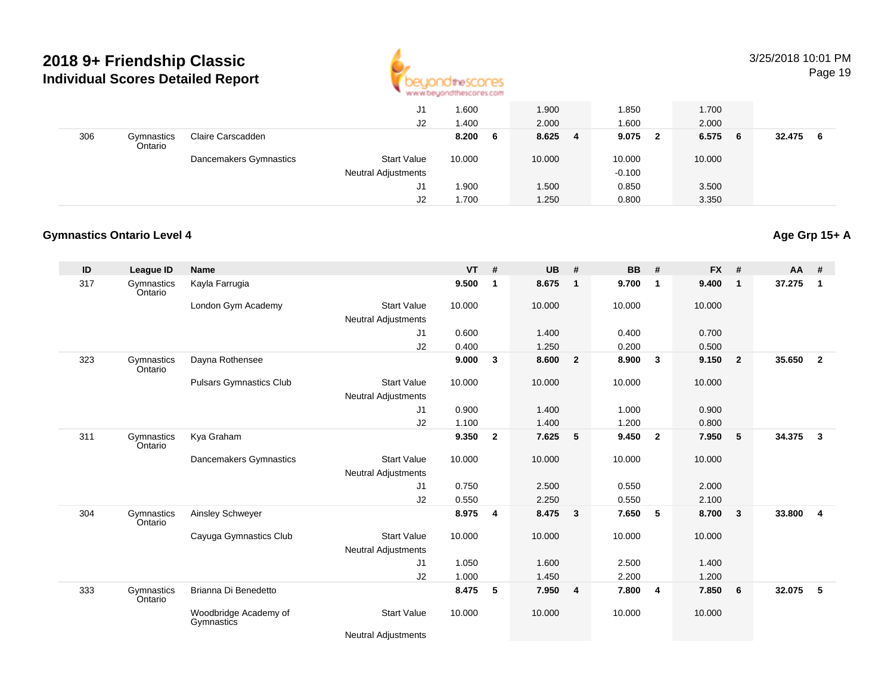

# 3/25/2018 10:01 PM

Page 19

|     |                       |                        | J1<br>J2                                         | 1.600<br>1.400 | 1.900<br>2.000 | 1.850<br>1.600        | 1.700<br>2.000 |               |
|-----|-----------------------|------------------------|--------------------------------------------------|----------------|----------------|-----------------------|----------------|---------------|
| 306 | Gymnastics<br>Ontario | Claire Carscadden      |                                                  | 8.200<br>6     | 8.625<br>-4    | 9.075<br>$\mathbf{2}$ | 6.575<br>- 6   | 32.475<br>- 6 |
|     |                       | Dancemakers Gymnastics | <b>Start Value</b><br><b>Neutral Adjustments</b> | 10.000         | 10.000         | 10.000<br>$-0.100$    | 10.000         |               |
|     |                       |                        | J1                                               | 1.900          | 1.500          | 0.850                 | 3.500          |               |
|     |                       |                        | J2                                               | 1.700          | 1.250          | 0.800                 | 3.350          |               |

#### **Gymnastics Ontario Level 4**

#### **ID League ID Name VT # UB # BB # FX # AA #** 317 Gymnastics OntarioKayla Farrugia **9.500 <sup>1</sup> 8.675 <sup>1</sup> 9.700 <sup>1</sup> 9.400 <sup>1</sup> 37.275 <sup>1</sup>** London Gym Academy Start Valuee 10.000 10.000 10.000 10.000 Neutral Adjustments J1 0.600 1.400 0.400 0.700 J2 0.400 1.250 0.200 0.500 323 Gymnastics OntarioDayna Rothensee **9.000 <sup>3</sup> 8.600 <sup>2</sup> 8.900 <sup>3</sup> 9.150 <sup>2</sup> 35.650 <sup>2</sup>** Pulsars Gymnastics Clubb 3tart Value 10.000 10.000 10.000 10.000 10.000 Neutral Adjustments J1 0.900 1.400 1.000 0.900 J2 1.100 1.400 1.200 0.800 311**Gymnastics** OntarioKya Graham **9.350 <sup>2</sup> 7.625 <sup>5</sup> 9.450 <sup>2</sup> 7.950 <sup>5</sup> 34.375 <sup>3</sup>** Dancemakers Gymnastics Start Valuee 10.000 10.000 10.000 10.000 Neutral Adjustments J1 0.750 2.500 0.550 2.000 J2 0.550 2.250 0.550 2.100 304 Gymnastics OntarioAinsley Schweyer **8.975 <sup>4</sup> 8.475 <sup>3</sup> 7.650 <sup>5</sup> 8.700 <sup>3</sup> 33.800 <sup>4</sup>** Cayuga Gymnastics Club Start Value 10.000 10.000 10.000 10.000 Neutral Adjustments J1 1.050 1.600 2.500 1.400 J2 1.000 1.450 2.200 1.200 333 Gymnastics OntarioBrianna Di Benedetto **8.475 <sup>5</sup> 7.950 <sup>4</sup> 7.800 <sup>4</sup> 7.850 <sup>6</sup> 32.075 <sup>5</sup>** Woodbridge Academy of**Gymnastics** Start Valuee 10.000 10.000 10.000 10.000

Neutral Adjustments

# **Age Grp 15+ A**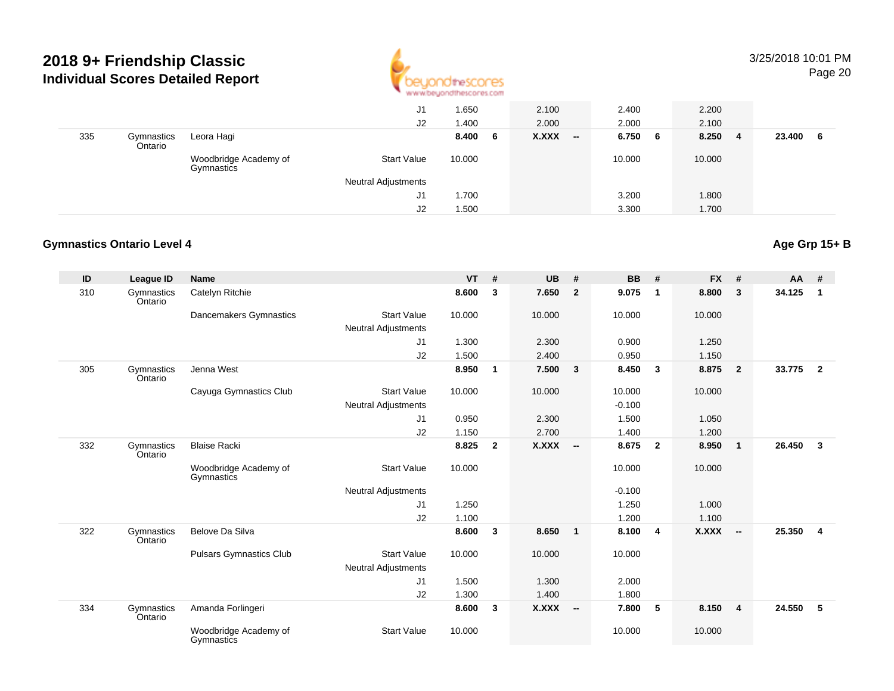

#### 3/25/2018 10:01 PMPage 20

|     |                       |                                     | J1<br>J2                   | 1.650<br>1.400 | 2.100<br>2.000                           | 2.400<br>2.000 | 2.200<br>2.100 |              |
|-----|-----------------------|-------------------------------------|----------------------------|----------------|------------------------------------------|----------------|----------------|--------------|
| 335 | Gymnastics<br>Ontario | Leora Hagi                          |                            | 8.400<br>6     | <b>X.XXX</b><br>$\overline{\phantom{a}}$ | 6.750 6        | 8.250<br>4     | 23.400<br>-6 |
|     |                       | Woodbridge Academy of<br>Gymnastics | <b>Start Value</b>         | 10.000         |                                          | 10.000         | 10.000         |              |
|     |                       |                                     | <b>Neutral Adjustments</b> |                |                                          |                |                |              |
|     |                       |                                     | J1                         | 1.700          |                                          | 3.200          | 1.800          |              |
|     |                       |                                     | J2                         | 1.500          |                                          | 3.300          | 1.700          |              |

#### **Gymnastics Ontario Level 4Age Grp 15+ B**

| ID  | <b>League ID</b>      | <b>Name</b>                         |                            | <b>VT</b> | #              | <b>UB</b>    | #                       | <b>BB</b> | #                       | <b>FX</b>    | #                        | <b>AA</b> | #              |
|-----|-----------------------|-------------------------------------|----------------------------|-----------|----------------|--------------|-------------------------|-----------|-------------------------|--------------|--------------------------|-----------|----------------|
| 310 | Gymnastics<br>Ontario | Catelyn Ritchie                     |                            | 8.600     | 3              | 7.650        | $\overline{2}$          | 9.075     | $\mathbf 1$             | 8.800        | 3                        | 34.125    | $\mathbf{1}$   |
|     |                       | Dancemakers Gymnastics              | <b>Start Value</b>         | 10.000    |                | 10.000       |                         | 10.000    |                         | 10.000       |                          |           |                |
|     |                       |                                     | <b>Neutral Adjustments</b> |           |                |              |                         |           |                         |              |                          |           |                |
|     |                       |                                     | J1                         | 1.300     |                | 2.300        |                         | 0.900     |                         | 1.250        |                          |           |                |
|     |                       |                                     | J <sub>2</sub>             | 1.500     |                | 2.400        |                         | 0.950     |                         | 1.150        |                          |           |                |
| 305 | Gymnastics<br>Ontario | Jenna West                          |                            | 8.950     | $\mathbf{1}$   | 7.500        | $\overline{\mathbf{3}}$ | 8.450     | $\mathbf{3}$            | 8.875        | $\overline{2}$           | 33.775    | $\overline{2}$ |
|     |                       | Cayuga Gymnastics Club              | <b>Start Value</b>         | 10.000    |                | 10.000       |                         | 10.000    |                         | 10.000       |                          |           |                |
|     |                       |                                     | <b>Neutral Adjustments</b> |           |                |              |                         | $-0.100$  |                         |              |                          |           |                |
|     |                       |                                     | J1                         | 0.950     |                | 2.300        |                         | 1.500     |                         | 1.050        |                          |           |                |
|     |                       |                                     | J2                         | 1.150     |                | 2.700        |                         | 1.400     |                         | 1.200        |                          |           |                |
| 332 | Gymnastics<br>Ontario | <b>Blaise Racki</b>                 |                            | 8.825     | $\overline{2}$ | $X.XXX$ -    |                         | 8.675     | $\overline{\mathbf{2}}$ | 8.950        | $\mathbf{1}$             | 26.450    | $\mathbf{3}$   |
|     |                       | Woodbridge Academy of<br>Gymnastics | <b>Start Value</b>         | 10.000    |                |              |                         | 10.000    |                         | 10.000       |                          |           |                |
|     |                       |                                     | <b>Neutral Adjustments</b> |           |                |              |                         | $-0.100$  |                         |              |                          |           |                |
|     |                       |                                     | J1                         | 1.250     |                |              |                         | 1.250     |                         | 1.000        |                          |           |                |
|     |                       |                                     | J2                         | 1.100     |                |              |                         | 1.200     |                         | 1.100        |                          |           |                |
| 322 | Gymnastics<br>Ontario | Belove Da Silva                     |                            | 8.600     | 3              | 8.650        | $\overline{\mathbf{1}}$ | 8.100     | $\overline{4}$          | <b>X.XXX</b> | $\overline{\phantom{a}}$ | 25.350    | 4              |
|     |                       | <b>Pulsars Gymnastics Club</b>      | <b>Start Value</b>         | 10.000    |                | 10.000       |                         | 10.000    |                         |              |                          |           |                |
|     |                       |                                     | <b>Neutral Adjustments</b> |           |                |              |                         |           |                         |              |                          |           |                |
|     |                       |                                     | J1                         | 1.500     |                | 1.300        |                         | 2.000     |                         |              |                          |           |                |
|     |                       |                                     | J2                         | 1.300     |                | 1.400        |                         | 1.800     |                         |              |                          |           |                |
| 334 | Gymnastics<br>Ontario | Amanda Forlingeri                   |                            | 8.600     | $\mathbf{3}$   | <b>X.XXX</b> | $\sim$                  | 7.800     | 5                       | 8.150        | $\overline{4}$           | 24.550    | 5              |
|     |                       | Woodbridge Academy of<br>Gymnastics | <b>Start Value</b>         | 10.000    |                |              |                         | 10.000    |                         | 10.000       |                          |           |                |